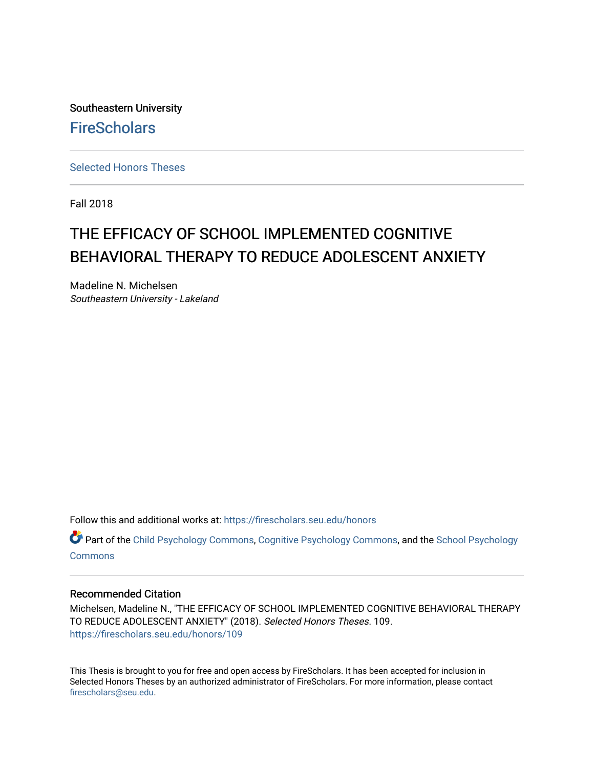Southeastern University **FireScholars** 

[Selected Honors Theses](https://firescholars.seu.edu/honors)

Fall 2018

# THE EFFICACY OF SCHOOL IMPLEMENTED COGNITIVE BEHAVIORAL THERAPY TO REDUCE ADOLESCENT ANXIETY

Madeline N. Michelsen Southeastern University - Lakeland

Follow this and additional works at: [https://firescholars.seu.edu/honors](https://firescholars.seu.edu/honors?utm_source=firescholars.seu.edu%2Fhonors%2F109&utm_medium=PDF&utm_campaign=PDFCoverPages)

Part of the [Child Psychology Commons,](http://network.bepress.com/hgg/discipline/1023?utm_source=firescholars.seu.edu%2Fhonors%2F109&utm_medium=PDF&utm_campaign=PDFCoverPages) [Cognitive Psychology Commons,](http://network.bepress.com/hgg/discipline/408?utm_source=firescholars.seu.edu%2Fhonors%2F109&utm_medium=PDF&utm_campaign=PDFCoverPages) and the [School Psychology](http://network.bepress.com/hgg/discipline/1072?utm_source=firescholars.seu.edu%2Fhonors%2F109&utm_medium=PDF&utm_campaign=PDFCoverPages) **[Commons](http://network.bepress.com/hgg/discipline/1072?utm_source=firescholars.seu.edu%2Fhonors%2F109&utm_medium=PDF&utm_campaign=PDFCoverPages)** 

#### Recommended Citation

Michelsen, Madeline N., "THE EFFICACY OF SCHOOL IMPLEMENTED COGNITIVE BEHAVIORAL THERAPY TO REDUCE ADOLESCENT ANXIETY" (2018). Selected Honors Theses. 109. [https://firescholars.seu.edu/honors/109](https://firescholars.seu.edu/honors/109?utm_source=firescholars.seu.edu%2Fhonors%2F109&utm_medium=PDF&utm_campaign=PDFCoverPages)

This Thesis is brought to you for free and open access by FireScholars. It has been accepted for inclusion in Selected Honors Theses by an authorized administrator of FireScholars. For more information, please contact [firescholars@seu.edu.](mailto:firescholars@seu.edu)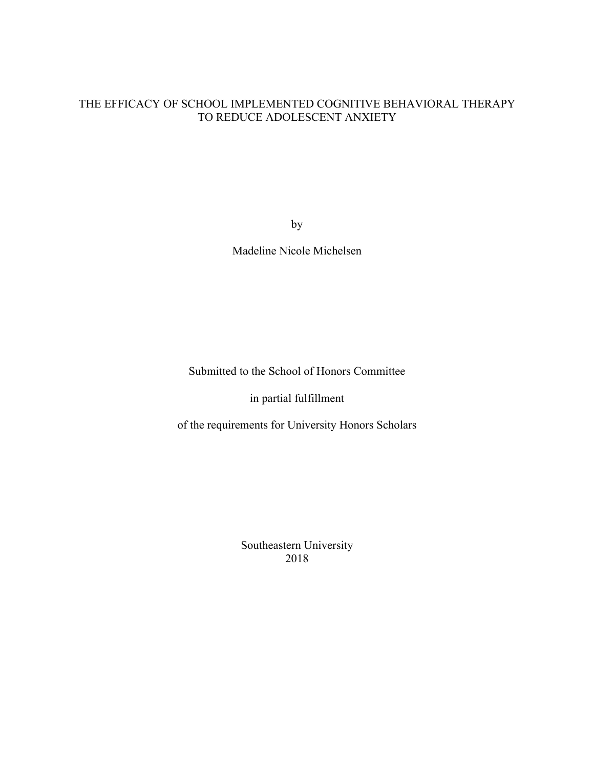## THE EFFICACY OF SCHOOL IMPLEMENTED COGNITIVE BEHAVIORAL THERAPY TO REDUCE ADOLESCENT ANXIETY

by

Madeline Nicole Michelsen

Submitted to the School of Honors Committee

in partial fulfillment

of the requirements for University Honors Scholars

Southeastern University 2018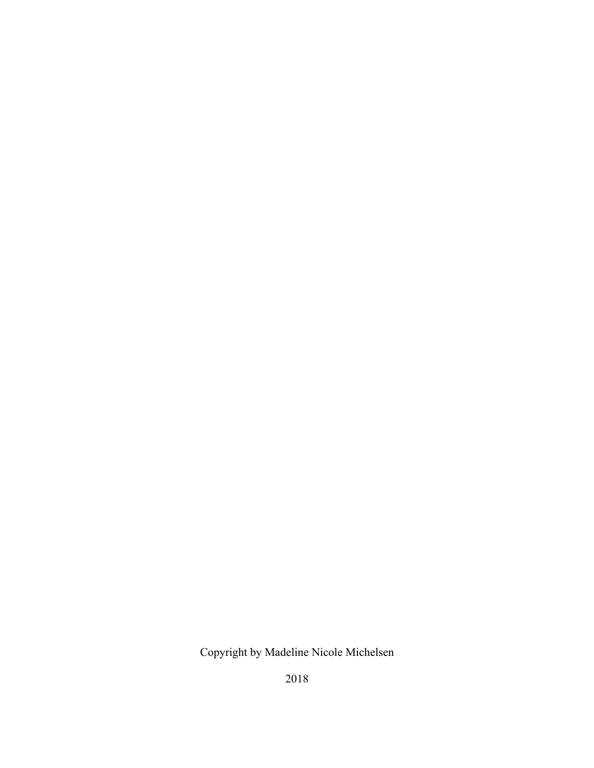Copyright by Madeline Nicole Michelsen

2018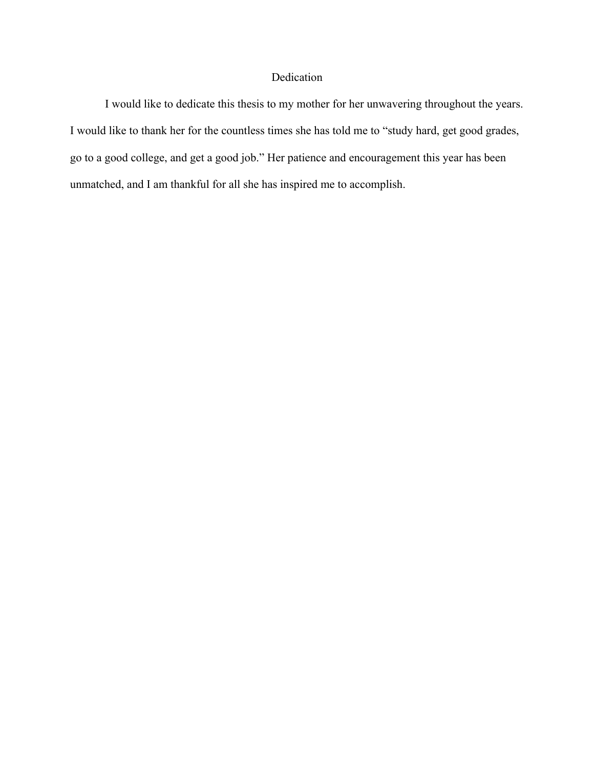## Dedication

I would like to dedicate this thesis to my mother for her unwavering throughout the years. I would like to thank her for the countless times she has told me to "study hard, get good grades, go to a good college, and get a good job." Her patience and encouragement this year has been unmatched, and I am thankful for all she has inspired me to accomplish.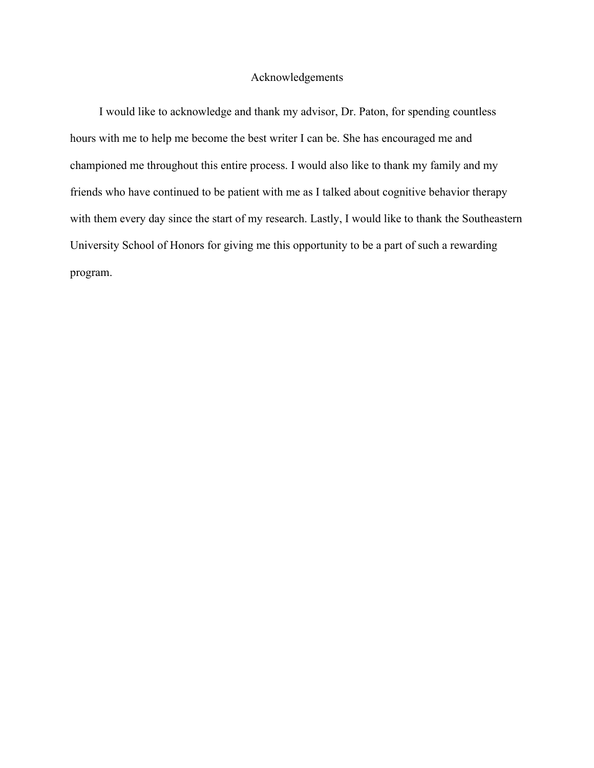## Acknowledgements

 I would like to acknowledge and thank my advisor, Dr. Paton, for spending countless hours with me to help me become the best writer I can be. She has encouraged me and championed me throughout this entire process. I would also like to thank my family and my friends who have continued to be patient with me as I talked about cognitive behavior therapy with them every day since the start of my research. Lastly, I would like to thank the Southeastern University School of Honors for giving me this opportunity to be a part of such a rewarding program.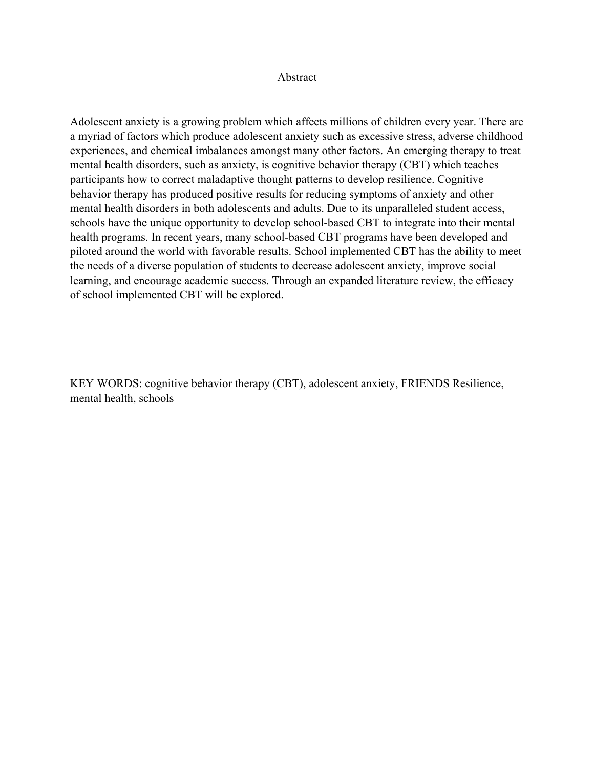#### Abstract

Adolescent anxiety is a growing problem which affects millions of children every year. There are a myriad of factors which produce adolescent anxiety such as excessive stress, adverse childhood experiences, and chemical imbalances amongst many other factors. An emerging therapy to treat mental health disorders, such as anxiety, is cognitive behavior therapy (CBT) which teaches participants how to correct maladaptive thought patterns to develop resilience. Cognitive behavior therapy has produced positive results for reducing symptoms of anxiety and other mental health disorders in both adolescents and adults. Due to its unparalleled student access, schools have the unique opportunity to develop school-based CBT to integrate into their mental health programs. In recent years, many school-based CBT programs have been developed and piloted around the world with favorable results. School implemented CBT has the ability to meet the needs of a diverse population of students to decrease adolescent anxiety, improve social learning, and encourage academic success. Through an expanded literature review, the efficacy of school implemented CBT will be explored.

KEY WORDS: cognitive behavior therapy (CBT), adolescent anxiety, FRIENDS Resilience, mental health, schools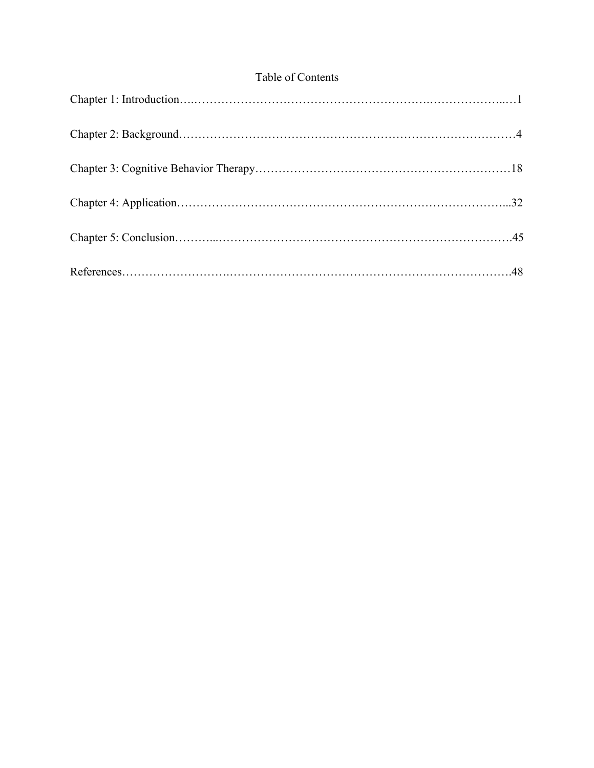## Table of Contents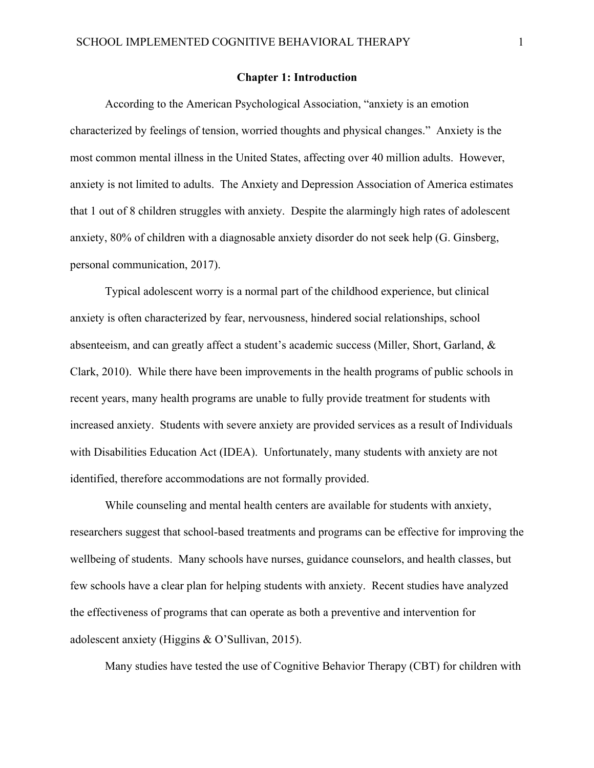#### **Chapter 1: Introduction**

According to the American Psychological Association, "anxiety is an emotion characterized by feelings of tension, worried thoughts and physical changes." Anxiety is the most common mental illness in the United States, affecting over 40 million adults. However, anxiety is not limited to adults. The Anxiety and Depression Association of America estimates that 1 out of 8 children struggles with anxiety. Despite the alarmingly high rates of adolescent anxiety, 80% of children with a diagnosable anxiety disorder do not seek help (G. Ginsberg, personal communication, 2017).

Typical adolescent worry is a normal part of the childhood experience, but clinical anxiety is often characterized by fear, nervousness, hindered social relationships, school absenteeism, and can greatly affect a student's academic success (Miller, Short, Garland, & Clark, 2010). While there have been improvements in the health programs of public schools in recent years, many health programs are unable to fully provide treatment for students with increased anxiety. Students with severe anxiety are provided services as a result of Individuals with Disabilities Education Act (IDEA). Unfortunately, many students with anxiety are not identified, therefore accommodations are not formally provided.

While counseling and mental health centers are available for students with anxiety, researchers suggest that school-based treatments and programs can be effective for improving the wellbeing of students. Many schools have nurses, guidance counselors, and health classes, but few schools have a clear plan for helping students with anxiety. Recent studies have analyzed the effectiveness of programs that can operate as both a preventive and intervention for adolescent anxiety (Higgins & O'Sullivan, 2015).

Many studies have tested the use of Cognitive Behavior Therapy (CBT) for children with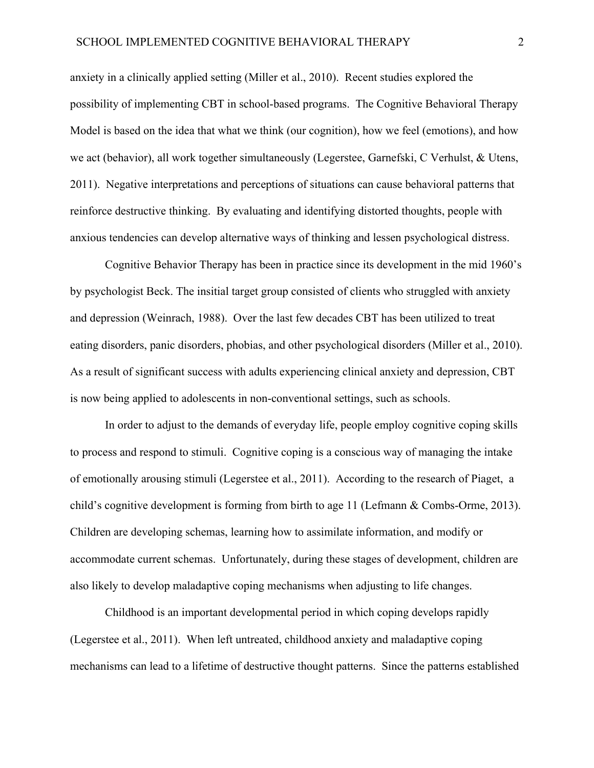anxiety in a clinically applied setting (Miller et al., 2010). Recent studies explored the possibility of implementing CBT in school-based programs. The Cognitive Behavioral Therapy Model is based on the idea that what we think (our cognition), how we feel (emotions), and how we act (behavior), all work together simultaneously (Legerstee, Garnefski, C Verhulst, & Utens, 2011). Negative interpretations and perceptions of situations can cause behavioral patterns that reinforce destructive thinking. By evaluating and identifying distorted thoughts, people with anxious tendencies can develop alternative ways of thinking and lessen psychological distress.

Cognitive Behavior Therapy has been in practice since its development in the mid 1960's by psychologist Beck. The insitial target group consisted of clients who struggled with anxiety and depression (Weinrach, 1988). Over the last few decades CBT has been utilized to treat eating disorders, panic disorders, phobias, and other psychological disorders (Miller et al., 2010). As a result of significant success with adults experiencing clinical anxiety and depression, CBT is now being applied to adolescents in non-conventional settings, such as schools.

In order to adjust to the demands of everyday life, people employ cognitive coping skills to process and respond to stimuli. Cognitive coping is a conscious way of managing the intake of emotionally arousing stimuli (Legerstee et al., 2011). According to the research of Piaget, a child's cognitive development is forming from birth to age 11 (Lefmann & Combs-Orme, 2013). Children are developing schemas, learning how to assimilate information, and modify or accommodate current schemas. Unfortunately, during these stages of development, children are also likely to develop maladaptive coping mechanisms when adjusting to life changes.

Childhood is an important developmental period in which coping develops rapidly (Legerstee et al., 2011). When left untreated, childhood anxiety and maladaptive coping mechanisms can lead to a lifetime of destructive thought patterns. Since the patterns established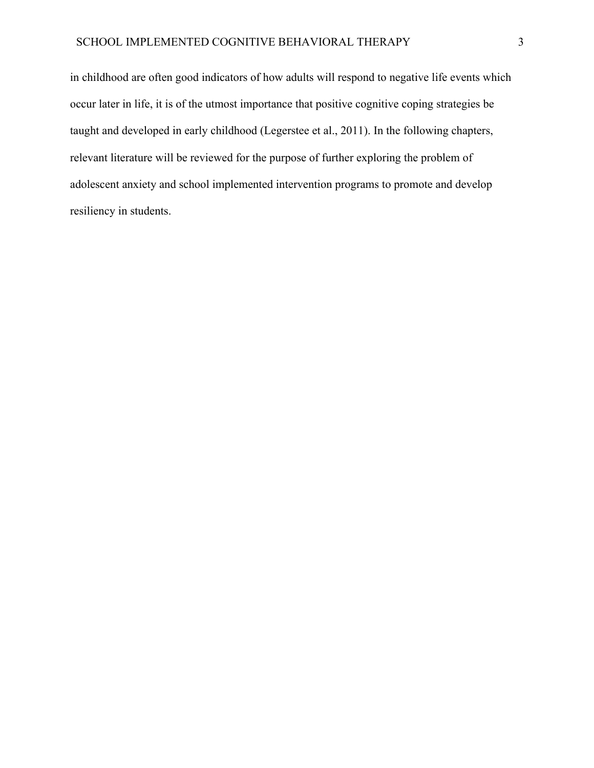in childhood are often good indicators of how adults will respond to negative life events which occur later in life, it is of the utmost importance that positive cognitive coping strategies be taught and developed in early childhood (Legerstee et al., 2011). In the following chapters, relevant literature will be reviewed for the purpose of further exploring the problem of adolescent anxiety and school implemented intervention programs to promote and develop resiliency in students.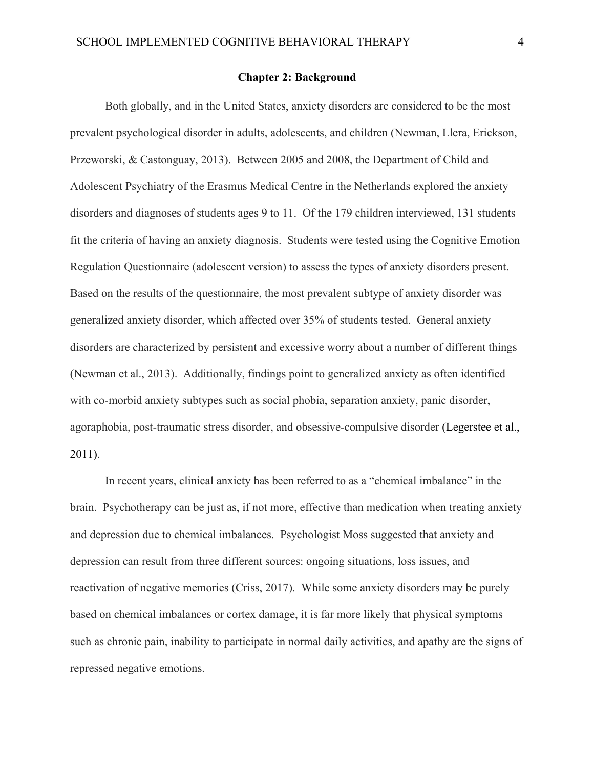#### **Chapter 2: Background**

Both globally, and in the United States, anxiety disorders are considered to be the most prevalent psychological disorder in adults, adolescents, and children (Newman, Llera, Erickson, Przeworski, & Castonguay, 2013). Between 2005 and 2008, the Department of Child and Adolescent Psychiatry of the Erasmus Medical Centre in the Netherlands explored the anxiety disorders and diagnoses of students ages 9 to 11. Of the 179 children interviewed, 131 students fit the criteria of having an anxiety diagnosis. Students were tested using the Cognitive Emotion Regulation Questionnaire (adolescent version) to assess the types of anxiety disorders present. Based on the results of the questionnaire, the most prevalent subtype of anxiety disorder was generalized anxiety disorder, which affected over 35% of students tested. General anxiety disorders are characterized by persistent and excessive worry about a number of different things (Newman et al., 2013). Additionally, findings point to generalized anxiety as often identified with co-morbid anxiety subtypes such as social phobia, separation anxiety, panic disorder, agoraphobia, post-traumatic stress disorder, and obsessive-compulsive disorder (Legerstee et al., 2011).

In recent years, clinical anxiety has been referred to as a "chemical imbalance" in the brain. Psychotherapy can be just as, if not more, effective than medication when treating anxiety and depression due to chemical imbalances. Psychologist Moss suggested that anxiety and depression can result from three different sources: ongoing situations, loss issues, and reactivation of negative memories (Criss, 2017). While some anxiety disorders may be purely based on chemical imbalances or cortex damage, it is far more likely that physical symptoms such as chronic pain, inability to participate in normal daily activities, and apathy are the signs of repressed negative emotions.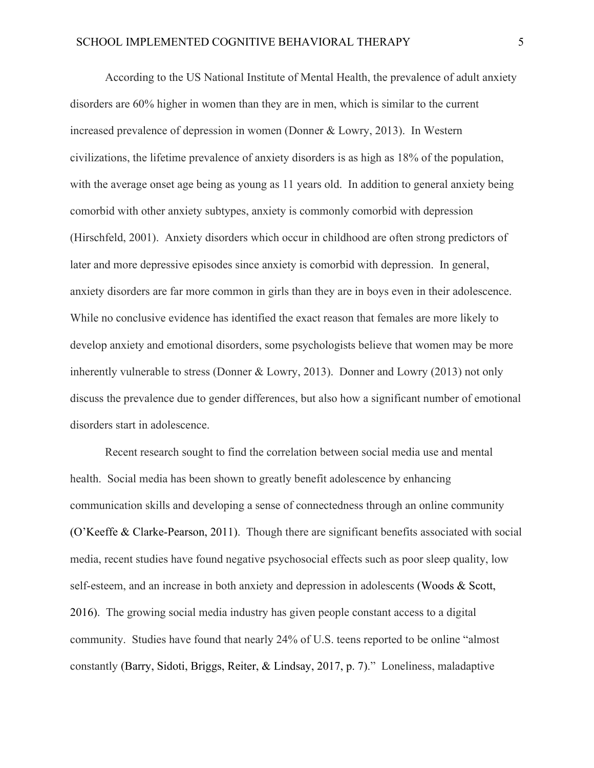According to the US National Institute of Mental Health, the prevalence of adult anxiety disorders are 60% higher in women than they are in men, which is similar to the current increased prevalence of depression in women (Donner & Lowry, 2013). In Western civilizations, the lifetime prevalence of anxiety disorders is as high as 18% of the population, with the average onset age being as young as 11 years old. In addition to general anxiety being comorbid with other anxiety subtypes, anxiety is commonly comorbid with depression (Hirschfeld, 2001). Anxiety disorders which occur in childhood are often strong predictors of later and more depressive episodes since anxiety is comorbid with depression. In general, anxiety disorders are far more common in girls than they are in boys even in their adolescence. While no conclusive evidence has identified the exact reason that females are more likely to develop anxiety and emotional disorders, some psychologists believe that women may be more inherently vulnerable to stress (Donner & Lowry, 2013). Donner and Lowry (2013) not only discuss the prevalence due to gender differences, but also how a significant number of emotional disorders start in adolescence.

Recent research sought to find the correlation between social media use and mental health. Social media has been shown to greatly benefit adolescence by enhancing communication skills and developing a sense of connectedness through an online community (O'Keeffe & Clarke-Pearson, 2011). Though there are significant benefits associated with social media, recent studies have found negative psychosocial effects such as poor sleep quality, low self-esteem, and an increase in both anxiety and depression in adolescents (Woods & Scott, 2016). The growing social media industry has given people constant access to a digital community. Studies have found that nearly 24% of U.S. teens reported to be online "almost constantly (Barry, Sidoti, Briggs, Reiter, & Lindsay, 2017, p. 7)." Loneliness, maladaptive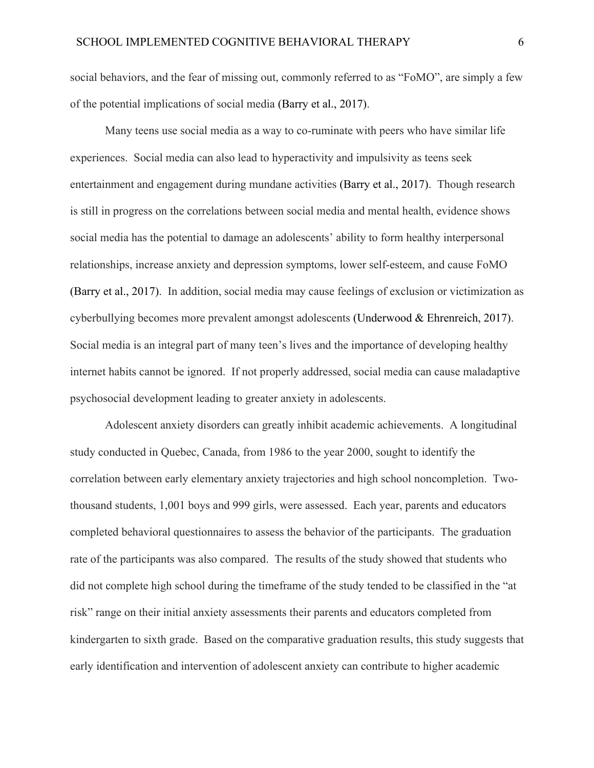social behaviors, and the fear of missing out, commonly referred to as "FoMO", are simply a few of the potential implications of social media (Barry et al., 2017).

Many teens use social media as a way to co-ruminate with peers who have similar life experiences. Social media can also lead to hyperactivity and impulsivity as teens seek entertainment and engagement during mundane activities (Barry et al., 2017). Though research is still in progress on the correlations between social media and mental health, evidence shows social media has the potential to damage an adolescents' ability to form healthy interpersonal relationships, increase anxiety and depression symptoms, lower self-esteem, and cause FoMO (Barry et al., 2017). In addition, social media may cause feelings of exclusion or victimization as cyberbullying becomes more prevalent amongst adolescents (Underwood & Ehrenreich, 2017). Social media is an integral part of many teen's lives and the importance of developing healthy internet habits cannot be ignored. If not properly addressed, social media can cause maladaptive psychosocial development leading to greater anxiety in adolescents.

Adolescent anxiety disorders can greatly inhibit academic achievements. A longitudinal study conducted in Quebec, Canada, from 1986 to the year 2000, sought to identify the correlation between early elementary anxiety trajectories and high school noncompletion. Twothousand students, 1,001 boys and 999 girls, were assessed. Each year, parents and educators completed behavioral questionnaires to assess the behavior of the participants. The graduation rate of the participants was also compared. The results of the study showed that students who did not complete high school during the timeframe of the study tended to be classified in the "at risk" range on their initial anxiety assessments their parents and educators completed from kindergarten to sixth grade. Based on the comparative graduation results, this study suggests that early identification and intervention of adolescent anxiety can contribute to higher academic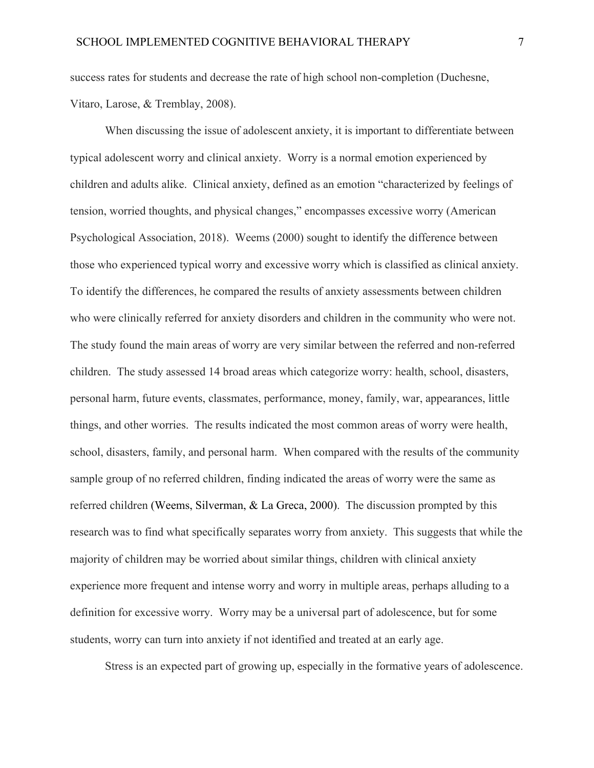success rates for students and decrease the rate of high school non-completion (Duchesne, Vitaro, Larose, & Tremblay, 2008).

When discussing the issue of adolescent anxiety, it is important to differentiate between typical adolescent worry and clinical anxiety. Worry is a normal emotion experienced by children and adults alike. Clinical anxiety, defined as an emotion "characterized by feelings of tension, worried thoughts, and physical changes," encompasses excessive worry (American Psychological Association, 2018). Weems (2000) sought to identify the difference between those who experienced typical worry and excessive worry which is classified as clinical anxiety. To identify the differences, he compared the results of anxiety assessments between children who were clinically referred for anxiety disorders and children in the community who were not. The study found the main areas of worry are very similar between the referred and non-referred children. The study assessed 14 broad areas which categorize worry: health, school, disasters, personal harm, future events, classmates, performance, money, family, war, appearances, little things, and other worries. The results indicated the most common areas of worry were health, school, disasters, family, and personal harm. When compared with the results of the community sample group of no referred children, finding indicated the areas of worry were the same as referred children (Weems, Silverman, & La Greca, 2000). The discussion prompted by this research was to find what specifically separates worry from anxiety. This suggests that while the majority of children may be worried about similar things, children with clinical anxiety experience more frequent and intense worry and worry in multiple areas, perhaps alluding to a definition for excessive worry. Worry may be a universal part of adolescence, but for some students, worry can turn into anxiety if not identified and treated at an early age.

Stress is an expected part of growing up, especially in the formative years of adolescence.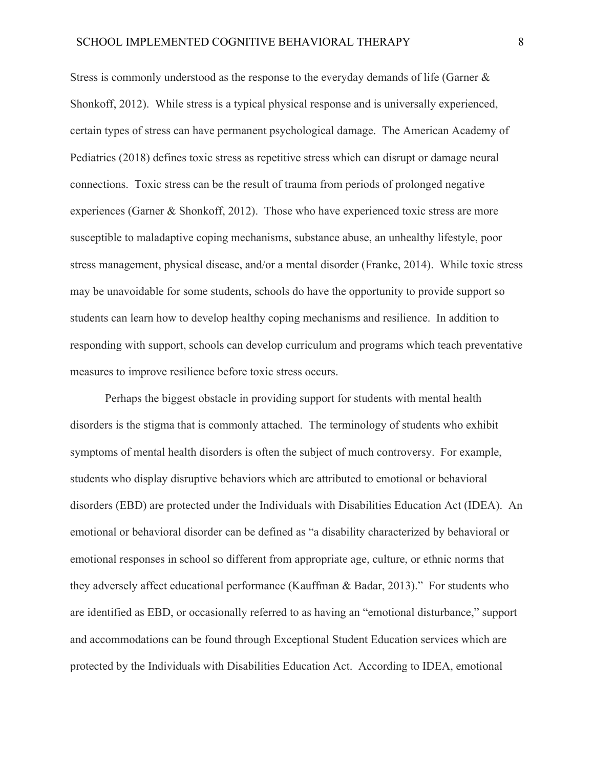Stress is commonly understood as the response to the everyday demands of life (Garner & Shonkoff, 2012). While stress is a typical physical response and is universally experienced, certain types of stress can have permanent psychological damage. The American Academy of Pediatrics (2018) defines toxic stress as repetitive stress which can disrupt or damage neural connections. Toxic stress can be the result of trauma from periods of prolonged negative experiences (Garner & Shonkoff, 2012). Those who have experienced toxic stress are more susceptible to maladaptive coping mechanisms, substance abuse, an unhealthy lifestyle, poor stress management, physical disease, and/or a mental disorder (Franke, 2014). While toxic stress may be unavoidable for some students, schools do have the opportunity to provide support so students can learn how to develop healthy coping mechanisms and resilience. In addition to responding with support, schools can develop curriculum and programs which teach preventative measures to improve resilience before toxic stress occurs.

Perhaps the biggest obstacle in providing support for students with mental health disorders is the stigma that is commonly attached. The terminology of students who exhibit symptoms of mental health disorders is often the subject of much controversy. For example, students who display disruptive behaviors which are attributed to emotional or behavioral disorders (EBD) are protected under the Individuals with Disabilities Education Act (IDEA). An emotional or behavioral disorder can be defined as "a disability characterized by behavioral or emotional responses in school so different from appropriate age, culture, or ethnic norms that they adversely affect educational performance (Kauffman & Badar, 2013)." For students who are identified as EBD, or occasionally referred to as having an "emotional disturbance," support and accommodations can be found through Exceptional Student Education services which are protected by the Individuals with Disabilities Education Act. According to IDEA, emotional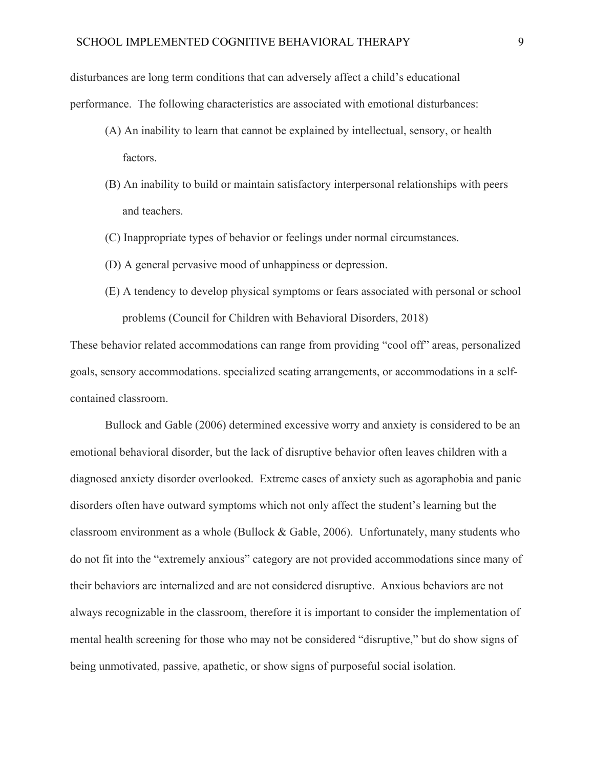disturbances are long term conditions that can adversely affect a child's educational performance. The following characteristics are associated with emotional disturbances:

- (A) An inability to learn that cannot be explained by intellectual, sensory, or health factors.
- (B) An inability to build or maintain satisfactory interpersonal relationships with peers and teachers.
- (C) Inappropriate types of behavior or feelings under normal circumstances.
- (D) A general pervasive mood of unhappiness or depression.
- (E) A tendency to develop physical symptoms or fears associated with personal or school problems (Council for Children with Behavioral Disorders, 2018)

These behavior related accommodations can range from providing "cool off" areas, personalized goals, sensory accommodations. specialized seating arrangements, or accommodations in a selfcontained classroom.

Bullock and Gable (2006) determined excessive worry and anxiety is considered to be an emotional behavioral disorder, but the lack of disruptive behavior often leaves children with a diagnosed anxiety disorder overlooked. Extreme cases of anxiety such as agoraphobia and panic disorders often have outward symptoms which not only affect the student's learning but the classroom environment as a whole (Bullock & Gable, 2006). Unfortunately, many students who do not fit into the "extremely anxious" category are not provided accommodations since many of their behaviors are internalized and are not considered disruptive. Anxious behaviors are not always recognizable in the classroom, therefore it is important to consider the implementation of mental health screening for those who may not be considered "disruptive," but do show signs of being unmotivated, passive, apathetic, or show signs of purposeful social isolation.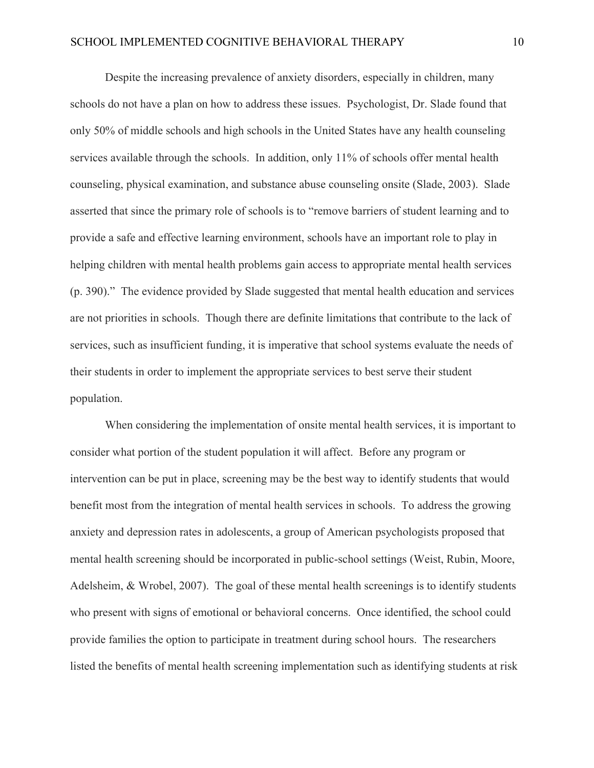Despite the increasing prevalence of anxiety disorders, especially in children, many schools do not have a plan on how to address these issues. Psychologist, Dr. Slade found that only 50% of middle schools and high schools in the United States have any health counseling services available through the schools. In addition, only 11% of schools offer mental health counseling, physical examination, and substance abuse counseling onsite (Slade, 2003). Slade asserted that since the primary role of schools is to "remove barriers of student learning and to provide a safe and effective learning environment, schools have an important role to play in helping children with mental health problems gain access to appropriate mental health services (p. 390)." The evidence provided by Slade suggested that mental health education and services are not priorities in schools. Though there are definite limitations that contribute to the lack of services, such as insufficient funding, it is imperative that school systems evaluate the needs of their students in order to implement the appropriate services to best serve their student population.

When considering the implementation of onsite mental health services, it is important to consider what portion of the student population it will affect. Before any program or intervention can be put in place, screening may be the best way to identify students that would benefit most from the integration of mental health services in schools. To address the growing anxiety and depression rates in adolescents, a group of American psychologists proposed that mental health screening should be incorporated in public-school settings (Weist, Rubin, Moore, Adelsheim, & Wrobel, 2007). The goal of these mental health screenings is to identify students who present with signs of emotional or behavioral concerns. Once identified, the school could provide families the option to participate in treatment during school hours. The researchers listed the benefits of mental health screening implementation such as identifying students at risk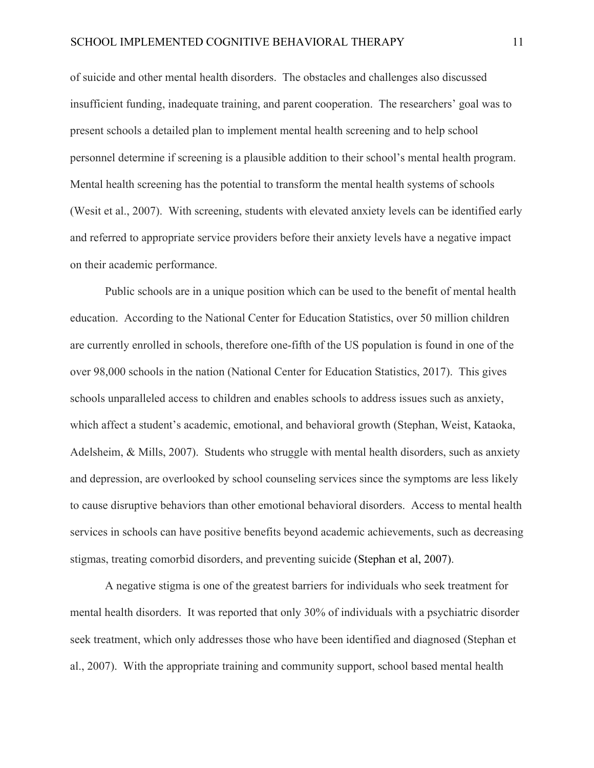of suicide and other mental health disorders. The obstacles and challenges also discussed insufficient funding, inadequate training, and parent cooperation. The researchers' goal was to present schools a detailed plan to implement mental health screening and to help school personnel determine if screening is a plausible addition to their school's mental health program. Mental health screening has the potential to transform the mental health systems of schools (Wesit et al., 2007). With screening, students with elevated anxiety levels can be identified early and referred to appropriate service providers before their anxiety levels have a negative impact on their academic performance.

Public schools are in a unique position which can be used to the benefit of mental health education. According to the National Center for Education Statistics, over 50 million children are currently enrolled in schools, therefore one-fifth of the US population is found in one of the over 98,000 schools in the nation (National Center for Education Statistics, 2017). This gives schools unparalleled access to children and enables schools to address issues such as anxiety, which affect a student's academic, emotional, and behavioral growth (Stephan, Weist, Kataoka, Adelsheim, & Mills, 2007). Students who struggle with mental health disorders, such as anxiety and depression, are overlooked by school counseling services since the symptoms are less likely to cause disruptive behaviors than other emotional behavioral disorders. Access to mental health services in schools can have positive benefits beyond academic achievements, such as decreasing stigmas, treating comorbid disorders, and preventing suicide (Stephan et al, 2007).

A negative stigma is one of the greatest barriers for individuals who seek treatment for mental health disorders. It was reported that only 30% of individuals with a psychiatric disorder seek treatment, which only addresses those who have been identified and diagnosed (Stephan et al., 2007). With the appropriate training and community support, school based mental health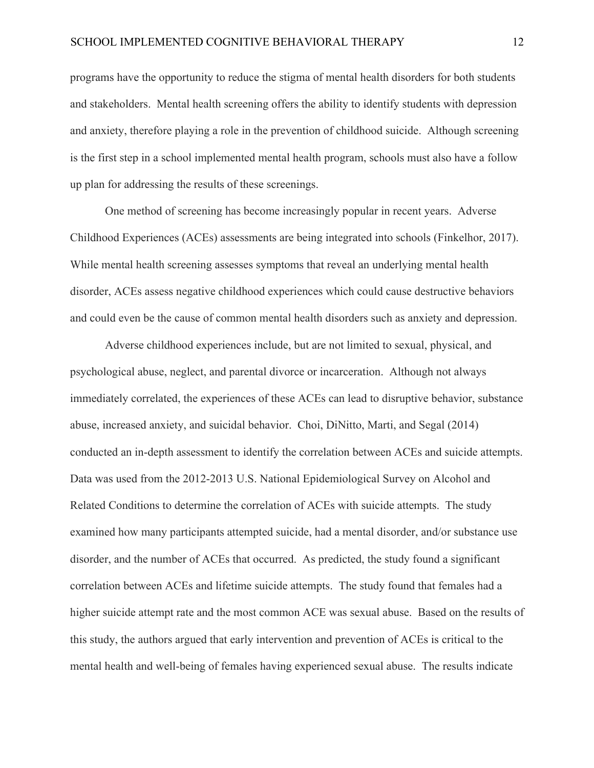programs have the opportunity to reduce the stigma of mental health disorders for both students and stakeholders. Mental health screening offers the ability to identify students with depression and anxiety, therefore playing a role in the prevention of childhood suicide. Although screening is the first step in a school implemented mental health program, schools must also have a follow up plan for addressing the results of these screenings.

One method of screening has become increasingly popular in recent years. Adverse Childhood Experiences (ACEs) assessments are being integrated into schools (Finkelhor, 2017). While mental health screening assesses symptoms that reveal an underlying mental health disorder, ACEs assess negative childhood experiences which could cause destructive behaviors and could even be the cause of common mental health disorders such as anxiety and depression.

Adverse childhood experiences include, but are not limited to sexual, physical, and psychological abuse, neglect, and parental divorce or incarceration. Although not always immediately correlated, the experiences of these ACEs can lead to disruptive behavior, substance abuse, increased anxiety, and suicidal behavior. Choi, DiNitto, Marti, and Segal (2014) conducted an in-depth assessment to identify the correlation between ACEs and suicide attempts. Data was used from the 2012-2013 U.S. National Epidemiological Survey on Alcohol and Related Conditions to determine the correlation of ACEs with suicide attempts. The study examined how many participants attempted suicide, had a mental disorder, and/or substance use disorder, and the number of ACEs that occurred. As predicted, the study found a significant correlation between ACEs and lifetime suicide attempts. The study found that females had a higher suicide attempt rate and the most common ACE was sexual abuse. Based on the results of this study, the authors argued that early intervention and prevention of ACEs is critical to the mental health and well-being of females having experienced sexual abuse. The results indicate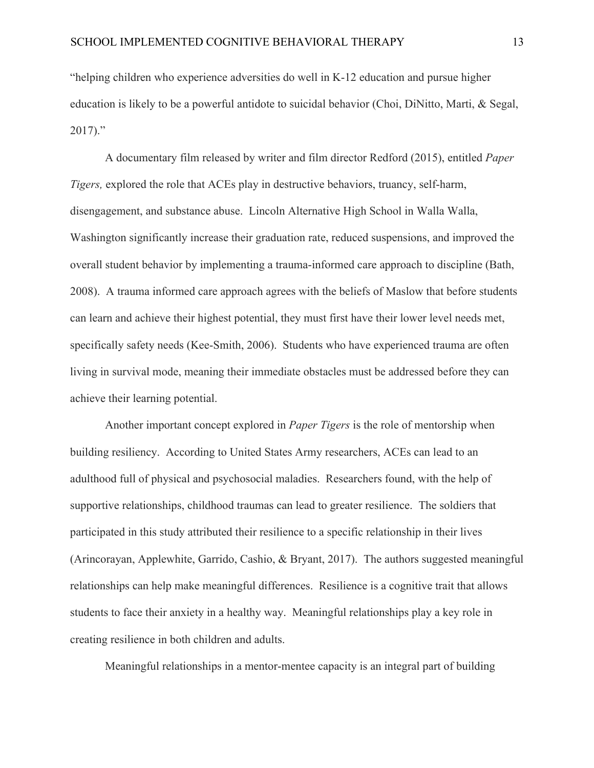"helping children who experience adversities do well in K-12 education and pursue higher education is likely to be a powerful antidote to suicidal behavior (Choi, DiNitto, Marti, & Segal, 2017)."

A documentary film released by writer and film director Redford (2015), entitled *Paper Tigers,* explored the role that ACEs play in destructive behaviors, truancy, self-harm, disengagement, and substance abuse. Lincoln Alternative High School in Walla Walla, Washington significantly increase their graduation rate, reduced suspensions, and improved the overall student behavior by implementing a trauma-informed care approach to discipline (Bath, 2008). A trauma informed care approach agrees with the beliefs of Maslow that before students can learn and achieve their highest potential, they must first have their lower level needs met, specifically safety needs (Kee-Smith, 2006). Students who have experienced trauma are often living in survival mode, meaning their immediate obstacles must be addressed before they can achieve their learning potential.

Another important concept explored in *Paper Tigers* is the role of mentorship when building resiliency. According to United States Army researchers, ACEs can lead to an adulthood full of physical and psychosocial maladies. Researchers found, with the help of supportive relationships, childhood traumas can lead to greater resilience. The soldiers that participated in this study attributed their resilience to a specific relationship in their lives (Arincorayan, Applewhite, Garrido, Cashio, & Bryant, 2017). The authors suggested meaningful relationships can help make meaningful differences. Resilience is a cognitive trait that allows students to face their anxiety in a healthy way. Meaningful relationships play a key role in creating resilience in both children and adults.

Meaningful relationships in a mentor-mentee capacity is an integral part of building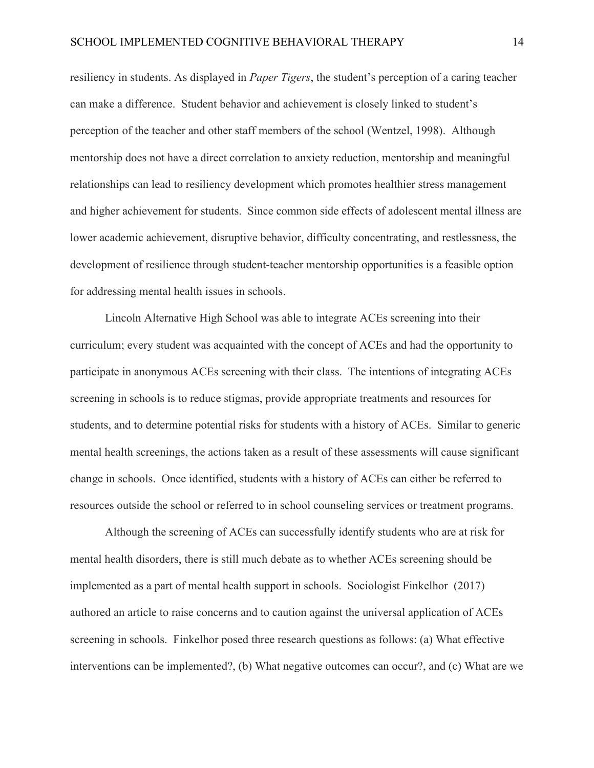resiliency in students. As displayed in *Paper Tigers*, the student's perception of a caring teacher can make a difference. Student behavior and achievement is closely linked to student's perception of the teacher and other staff members of the school (Wentzel, 1998). Although mentorship does not have a direct correlation to anxiety reduction, mentorship and meaningful relationships can lead to resiliency development which promotes healthier stress management and higher achievement for students. Since common side effects of adolescent mental illness are lower academic achievement, disruptive behavior, difficulty concentrating, and restlessness, the development of resilience through student-teacher mentorship opportunities is a feasible option for addressing mental health issues in schools.

Lincoln Alternative High School was able to integrate ACEs screening into their curriculum; every student was acquainted with the concept of ACEs and had the opportunity to participate in anonymous ACEs screening with their class. The intentions of integrating ACEs screening in schools is to reduce stigmas, provide appropriate treatments and resources for students, and to determine potential risks for students with a history of ACEs. Similar to generic mental health screenings, the actions taken as a result of these assessments will cause significant change in schools. Once identified, students with a history of ACEs can either be referred to resources outside the school or referred to in school counseling services or treatment programs.

Although the screening of ACEs can successfully identify students who are at risk for mental health disorders, there is still much debate as to whether ACEs screening should be implemented as a part of mental health support in schools. Sociologist Finkelhor (2017) authored an article to raise concerns and to caution against the universal application of ACEs screening in schools. Finkelhor posed three research questions as follows: (a) What effective interventions can be implemented?, (b) What negative outcomes can occur?, and (c) What are we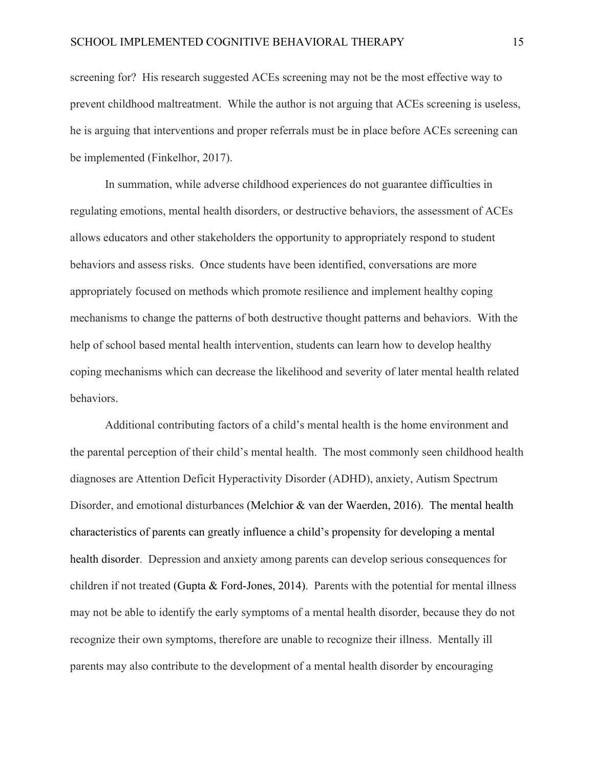screening for? His research suggested ACEs screening may not be the most effective way to prevent childhood maltreatment. While the author is not arguing that ACEs screening is useless, he is arguing that interventions and proper referrals must be in place before ACEs screening can be implemented (Finkelhor, 2017).

In summation, while adverse childhood experiences do not guarantee difficulties in regulating emotions, mental health disorders, or destructive behaviors, the assessment of ACEs allows educators and other stakeholders the opportunity to appropriately respond to student behaviors and assess risks. Once students have been identified, conversations are more appropriately focused on methods which promote resilience and implement healthy coping mechanisms to change the patterns of both destructive thought patterns and behaviors. With the help of school based mental health intervention, students can learn how to develop healthy coping mechanisms which can decrease the likelihood and severity of later mental health related behaviors.

Additional contributing factors of a child's mental health is the home environment and the parental perception of their child's mental health. The most commonly seen childhood health diagnoses are Attention Deficit Hyperactivity Disorder (ADHD), anxiety, Autism Spectrum Disorder, and emotional disturbances (Melchior & van der Waerden, 2016). The mental health characteristics of parents can greatly influence a child's propensity for developing a mental health disorder. Depression and anxiety among parents can develop serious consequences for children if not treated (Gupta & Ford-Jones, 2014). Parents with the potential for mental illness may not be able to identify the early symptoms of a mental health disorder, because they do not recognize their own symptoms, therefore are unable to recognize their illness. Mentally ill parents may also contribute to the development of a mental health disorder by encouraging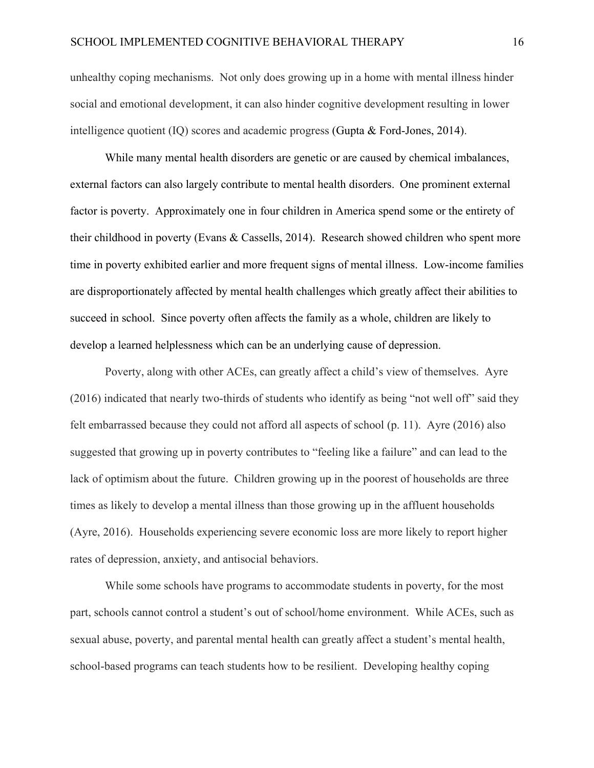unhealthy coping mechanisms. Not only does growing up in a home with mental illness hinder social and emotional development, it can also hinder cognitive development resulting in lower intelligence quotient (IQ) scores and academic progress (Gupta & Ford-Jones, 2014).

While many mental health disorders are genetic or are caused by chemical imbalances, external factors can also largely contribute to mental health disorders. One prominent external factor is poverty. Approximately one in four children in America spend some or the entirety of their childhood in poverty (Evans & Cassells, 2014). Research showed children who spent more time in poverty exhibited earlier and more frequent signs of mental illness. Low-income families are disproportionately affected by mental health challenges which greatly affect their abilities to succeed in school. Since poverty often affects the family as a whole, children are likely to develop a learned helplessness which can be an underlying cause of depression.

Poverty, along with other ACEs, can greatly affect a child's view of themselves. Ayre (2016) indicated that nearly two-thirds of students who identify as being "not well off" said they felt embarrassed because they could not afford all aspects of school (p. 11). Ayre (2016) also suggested that growing up in poverty contributes to "feeling like a failure" and can lead to the lack of optimism about the future. Children growing up in the poorest of households are three times as likely to develop a mental illness than those growing up in the affluent households (Ayre, 2016). Households experiencing severe economic loss are more likely to report higher rates of depression, anxiety, and antisocial behaviors.

While some schools have programs to accommodate students in poverty, for the most part, schools cannot control a student's out of school/home environment. While ACEs, such as sexual abuse, poverty, and parental mental health can greatly affect a student's mental health, school-based programs can teach students how to be resilient. Developing healthy coping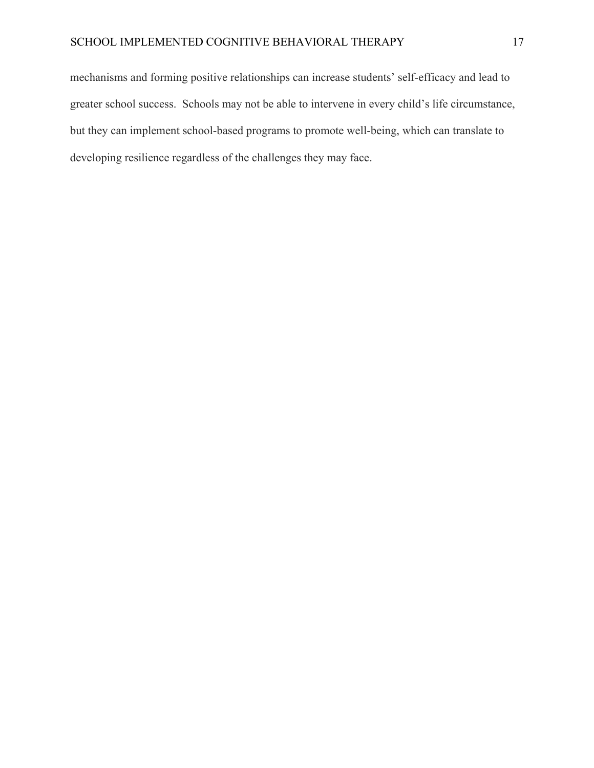mechanisms and forming positive relationships can increase students' self-efficacy and lead to greater school success. Schools may not be able to intervene in every child's life circumstance, but they can implement school-based programs to promote well-being, which can translate to developing resilience regardless of the challenges they may face.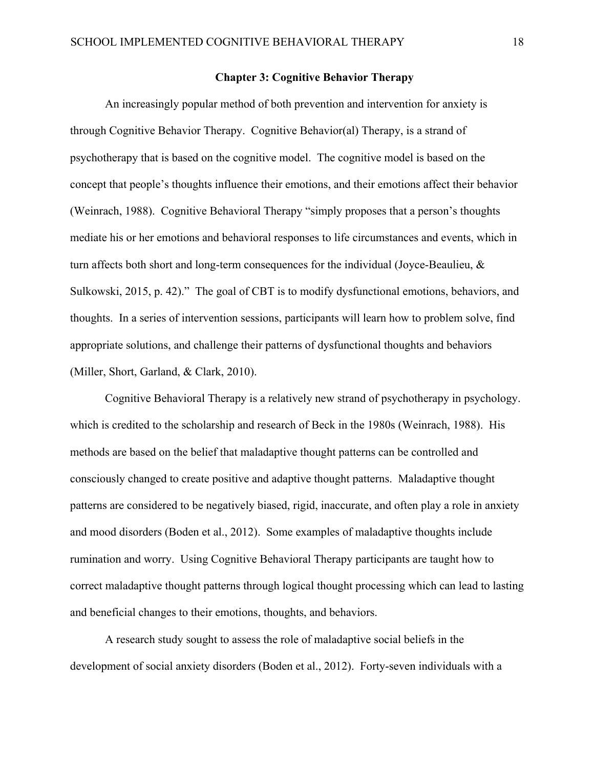#### **Chapter 3: Cognitive Behavior Therapy**

An increasingly popular method of both prevention and intervention for anxiety is through Cognitive Behavior Therapy. Cognitive Behavior(al) Therapy, is a strand of psychotherapy that is based on the cognitive model. The cognitive model is based on the concept that people's thoughts influence their emotions, and their emotions affect their behavior (Weinrach, 1988). Cognitive Behavioral Therapy "simply proposes that a person's thoughts mediate his or her emotions and behavioral responses to life circumstances and events, which in turn affects both short and long-term consequences for the individual (Joyce-Beaulieu, & Sulkowski, 2015, p. 42)." The goal of CBT is to modify dysfunctional emotions, behaviors, and thoughts. In a series of intervention sessions, participants will learn how to problem solve, find appropriate solutions, and challenge their patterns of dysfunctional thoughts and behaviors (Miller, Short, Garland, & Clark, 2010).

Cognitive Behavioral Therapy is a relatively new strand of psychotherapy in psychology. which is credited to the scholarship and research of Beck in the 1980s (Weinrach, 1988). His methods are based on the belief that maladaptive thought patterns can be controlled and consciously changed to create positive and adaptive thought patterns. Maladaptive thought patterns are considered to be negatively biased, rigid, inaccurate, and often play a role in anxiety and mood disorders (Boden et al., 2012). Some examples of maladaptive thoughts include rumination and worry. Using Cognitive Behavioral Therapy participants are taught how to correct maladaptive thought patterns through logical thought processing which can lead to lasting and beneficial changes to their emotions, thoughts, and behaviors.

A research study sought to assess the role of maladaptive social beliefs in the development of social anxiety disorders (Boden et al., 2012). Forty-seven individuals with a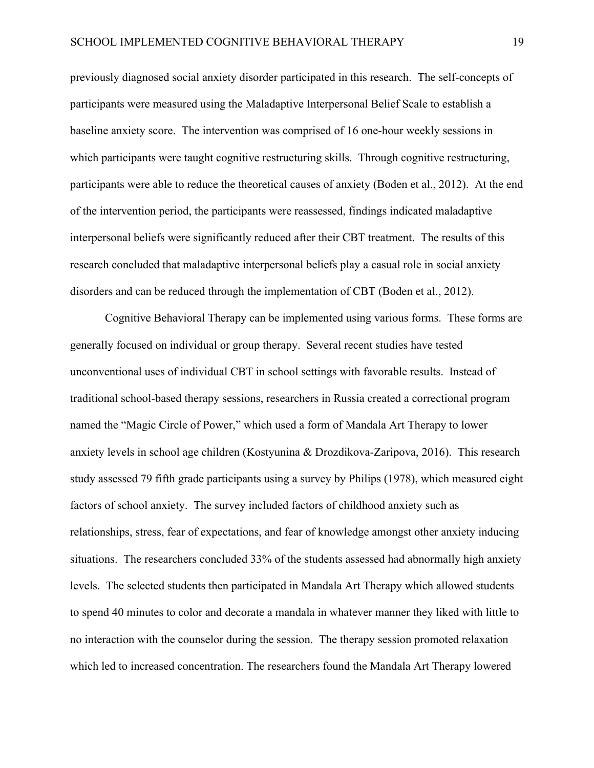previously diagnosed social anxiety disorder participated in this research. The self-concepts of participants were measured using the Maladaptive Interpersonal Belief Scale to establish a baseline anxiety score. The intervention was comprised of 16 one-hour weekly sessions in which participants were taught cognitive restructuring skills. Through cognitive restructuring, participants were able to reduce the theoretical causes of anxiety (Boden et al., 2012). At the end of the intervention period, the participants were reassessed, findings indicated maladaptive interpersonal beliefs were significantly reduced after their CBT treatment. The results of this research concluded that maladaptive interpersonal beliefs play a casual role in social anxiety disorders and can be reduced through the implementation of CBT (Boden et al., 2012).

Cognitive Behavioral Therapy can be implemented using various forms. These forms are generally focused on individual or group therapy. Several recent studies have tested unconventional uses of individual CBT in school settings with favorable results. Instead of traditional school-based therapy sessions, researchers in Russia created a correctional program named the "Magic Circle of Power," which used a form of Mandala Art Therapy to lower anxiety levels in school age children (Kostyunina & Drozdikova-Zaripova, 2016). This research study assessed 79 fifth grade participants using a survey by Philips (1978), which measured eight factors of school anxiety. The survey included factors of childhood anxiety such as relationships, stress, fear of expectations, and fear of knowledge amongst other anxiety inducing situations. The researchers concluded 33% of the students assessed had abnormally high anxiety levels. The selected students then participated in Mandala Art Therapy which allowed students to spend 40 minutes to color and decorate a mandala in whatever manner they liked with little to no interaction with the counselor during the session. The therapy session promoted relaxation which led to increased concentration. The researchers found the Mandala Art Therapy lowered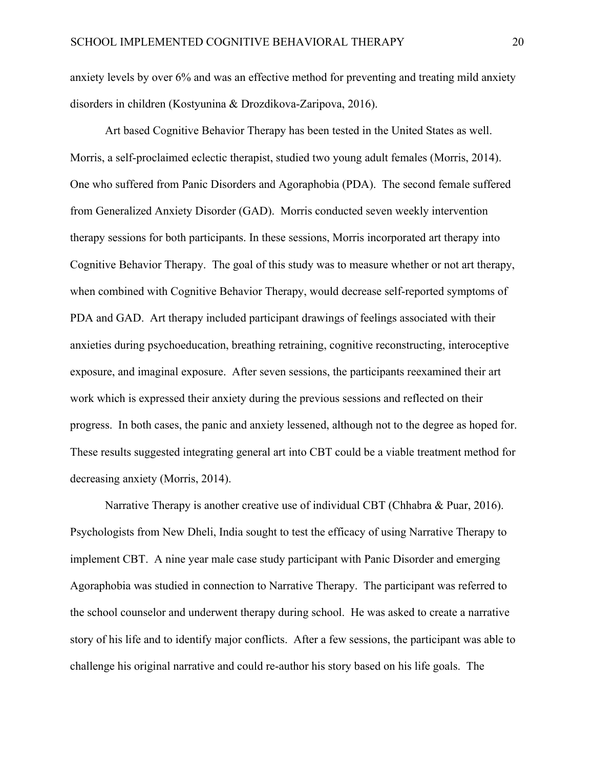anxiety levels by over 6% and was an effective method for preventing and treating mild anxiety disorders in children (Kostyunina & Drozdikova-Zaripova, 2016).

Art based Cognitive Behavior Therapy has been tested in the United States as well. Morris, a self-proclaimed eclectic therapist, studied two young adult females (Morris, 2014). One who suffered from Panic Disorders and Agoraphobia (PDA). The second female suffered from Generalized Anxiety Disorder (GAD). Morris conducted seven weekly intervention therapy sessions for both participants. In these sessions, Morris incorporated art therapy into Cognitive Behavior Therapy. The goal of this study was to measure whether or not art therapy, when combined with Cognitive Behavior Therapy, would decrease self-reported symptoms of PDA and GAD. Art therapy included participant drawings of feelings associated with their anxieties during psychoeducation, breathing retraining, cognitive reconstructing, interoceptive exposure, and imaginal exposure. After seven sessions, the participants reexamined their art work which is expressed their anxiety during the previous sessions and reflected on their progress. In both cases, the panic and anxiety lessened, although not to the degree as hoped for. These results suggested integrating general art into CBT could be a viable treatment method for decreasing anxiety (Morris, 2014).

Narrative Therapy is another creative use of individual CBT (Chhabra & Puar, 2016). Psychologists from New Dheli, India sought to test the efficacy of using Narrative Therapy to implement CBT. A nine year male case study participant with Panic Disorder and emerging Agoraphobia was studied in connection to Narrative Therapy. The participant was referred to the school counselor and underwent therapy during school. He was asked to create a narrative story of his life and to identify major conflicts. After a few sessions, the participant was able to challenge his original narrative and could re-author his story based on his life goals. The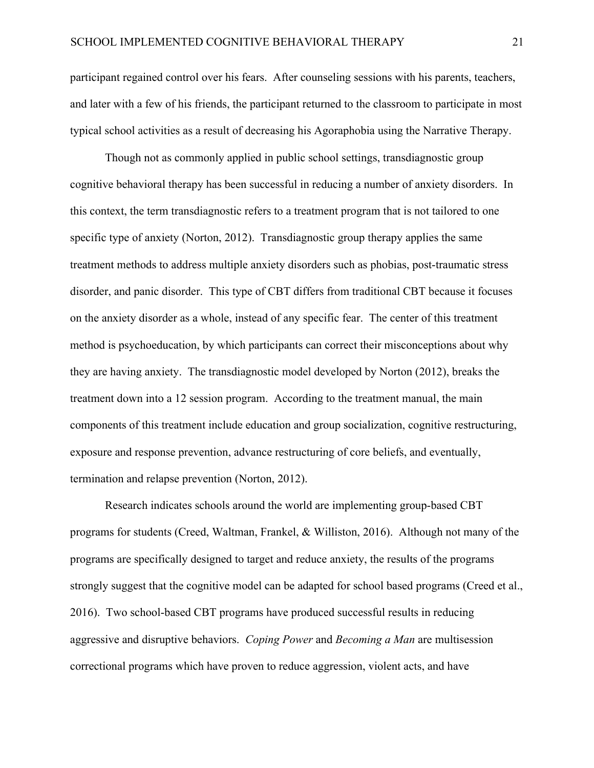participant regained control over his fears. After counseling sessions with his parents, teachers, and later with a few of his friends, the participant returned to the classroom to participate in most typical school activities as a result of decreasing his Agoraphobia using the Narrative Therapy.

Though not as commonly applied in public school settings, transdiagnostic group cognitive behavioral therapy has been successful in reducing a number of anxiety disorders. In this context, the term transdiagnostic refers to a treatment program that is not tailored to one specific type of anxiety (Norton, 2012). Transdiagnostic group therapy applies the same treatment methods to address multiple anxiety disorders such as phobias, post-traumatic stress disorder, and panic disorder. This type of CBT differs from traditional CBT because it focuses on the anxiety disorder as a whole, instead of any specific fear. The center of this treatment method is psychoeducation, by which participants can correct their misconceptions about why they are having anxiety. The transdiagnostic model developed by Norton (2012), breaks the treatment down into a 12 session program. According to the treatment manual, the main components of this treatment include education and group socialization, cognitive restructuring, exposure and response prevention, advance restructuring of core beliefs, and eventually, termination and relapse prevention (Norton, 2012).

Research indicates schools around the world are implementing group-based CBT programs for students (Creed, Waltman, Frankel, & Williston, 2016). Although not many of the programs are specifically designed to target and reduce anxiety, the results of the programs strongly suggest that the cognitive model can be adapted for school based programs (Creed et al., 2016). Two school-based CBT programs have produced successful results in reducing aggressive and disruptive behaviors. *Coping Power* and *Becoming a Man* are multisession correctional programs which have proven to reduce aggression, violent acts, and have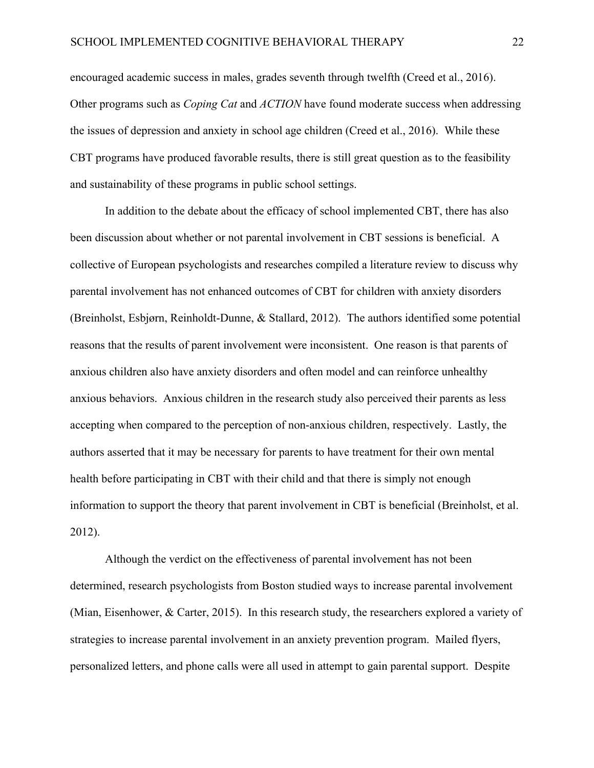encouraged academic success in males, grades seventh through twelfth (Creed et al., 2016). Other programs such as *Coping Cat* and *ACTION* have found moderate success when addressing the issues of depression and anxiety in school age children (Creed et al., 2016). While these CBT programs have produced favorable results, there is still great question as to the feasibility and sustainability of these programs in public school settings.

In addition to the debate about the efficacy of school implemented CBT, there has also been discussion about whether or not parental involvement in CBT sessions is beneficial. A collective of European psychologists and researches compiled a literature review to discuss why parental involvement has not enhanced outcomes of CBT for children with anxiety disorders (Breinholst, Esbjørn, Reinholdt-Dunne, & Stallard, 2012). The authors identified some potential reasons that the results of parent involvement were inconsistent. One reason is that parents of anxious children also have anxiety disorders and often model and can reinforce unhealthy anxious behaviors. Anxious children in the research study also perceived their parents as less accepting when compared to the perception of non-anxious children, respectively. Lastly, the authors asserted that it may be necessary for parents to have treatment for their own mental health before participating in CBT with their child and that there is simply not enough information to support the theory that parent involvement in CBT is beneficial (Breinholst, et al. 2012).

Although the verdict on the effectiveness of parental involvement has not been determined, research psychologists from Boston studied ways to increase parental involvement (Mian, Eisenhower, & Carter, 2015). In this research study, the researchers explored a variety of strategies to increase parental involvement in an anxiety prevention program. Mailed flyers, personalized letters, and phone calls were all used in attempt to gain parental support. Despite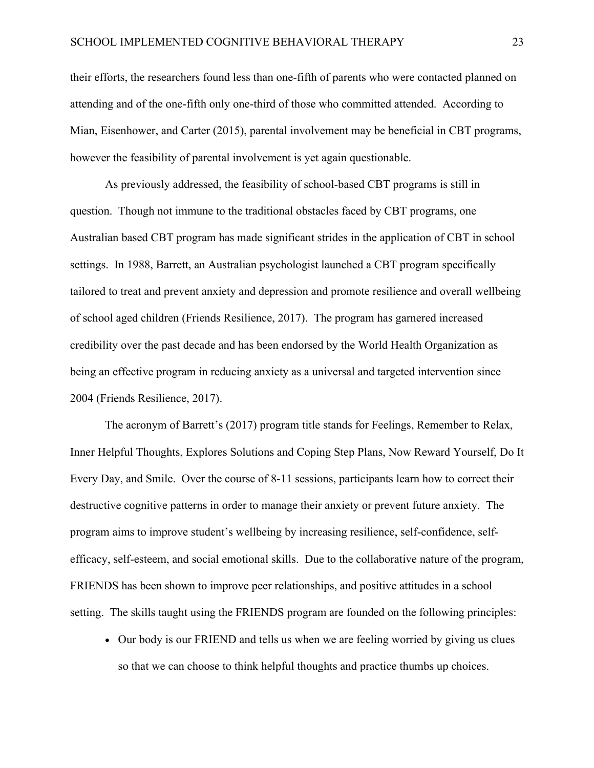their efforts, the researchers found less than one-fifth of parents who were contacted planned on attending and of the one-fifth only one-third of those who committed attended. According to Mian, Eisenhower, and Carter (2015), parental involvement may be beneficial in CBT programs, however the feasibility of parental involvement is yet again questionable.

As previously addressed, the feasibility of school-based CBT programs is still in question. Though not immune to the traditional obstacles faced by CBT programs, one Australian based CBT program has made significant strides in the application of CBT in school settings. In 1988, Barrett, an Australian psychologist launched a CBT program specifically tailored to treat and prevent anxiety and depression and promote resilience and overall wellbeing of school aged children (Friends Resilience, 2017). The program has garnered increased credibility over the past decade and has been endorsed by the World Health Organization as being an effective program in reducing anxiety as a universal and targeted intervention since 2004 (Friends Resilience, 2017).

The acronym of Barrett's (2017) program title stands for Feelings, Remember to Relax, Inner Helpful Thoughts, Explores Solutions and Coping Step Plans, Now Reward Yourself, Do It Every Day, and Smile. Over the course of 8-11 sessions, participants learn how to correct their destructive cognitive patterns in order to manage their anxiety or prevent future anxiety. The program aims to improve student's wellbeing by increasing resilience, self-confidence, selfefficacy, self-esteem, and social emotional skills. Due to the collaborative nature of the program, FRIENDS has been shown to improve peer relationships, and positive attitudes in a school setting. The skills taught using the FRIENDS program are founded on the following principles:

• Our body is our FRIEND and tells us when we are feeling worried by giving us clues so that we can choose to think helpful thoughts and practice thumbs up choices.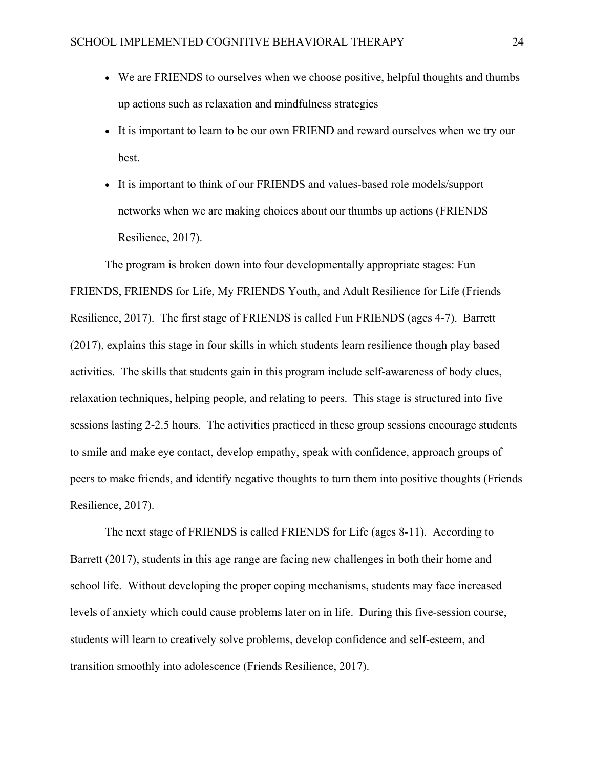- We are FRIENDS to ourselves when we choose positive, helpful thoughts and thumbs up actions such as relaxation and mindfulness strategies
- It is important to learn to be our own FRIEND and reward ourselves when we try our best.
- It is important to think of our FRIENDS and values-based role models/support networks when we are making choices about our thumbs up actions (FRIENDS Resilience, 2017).

The program is broken down into four developmentally appropriate stages: Fun FRIENDS, FRIENDS for Life, My FRIENDS Youth, and Adult Resilience for Life (Friends Resilience, 2017). The first stage of FRIENDS is called Fun FRIENDS (ages 4-7). Barrett (2017), explains this stage in four skills in which students learn resilience though play based activities. The skills that students gain in this program include self-awareness of body clues, relaxation techniques, helping people, and relating to peers. This stage is structured into five sessions lasting 2-2.5 hours. The activities practiced in these group sessions encourage students to smile and make eye contact, develop empathy, speak with confidence, approach groups of peers to make friends, and identify negative thoughts to turn them into positive thoughts (Friends Resilience, 2017).

The next stage of FRIENDS is called FRIENDS for Life (ages 8-11). According to Barrett (2017), students in this age range are facing new challenges in both their home and school life. Without developing the proper coping mechanisms, students may face increased levels of anxiety which could cause problems later on in life. During this five-session course, students will learn to creatively solve problems, develop confidence and self-esteem, and transition smoothly into adolescence (Friends Resilience, 2017).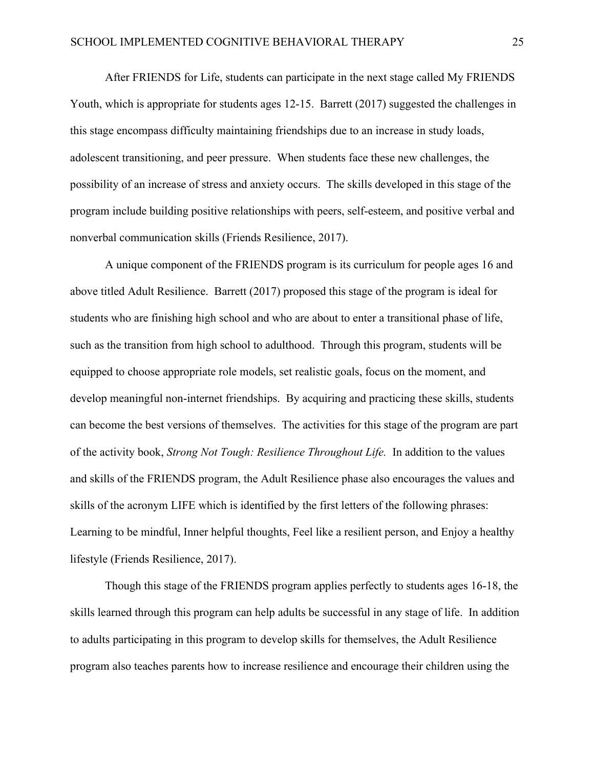After FRIENDS for Life, students can participate in the next stage called My FRIENDS Youth, which is appropriate for students ages 12-15. Barrett (2017) suggested the challenges in this stage encompass difficulty maintaining friendships due to an increase in study loads, adolescent transitioning, and peer pressure. When students face these new challenges, the possibility of an increase of stress and anxiety occurs. The skills developed in this stage of the program include building positive relationships with peers, self-esteem, and positive verbal and nonverbal communication skills (Friends Resilience, 2017).

A unique component of the FRIENDS program is its curriculum for people ages 16 and above titled Adult Resilience. Barrett (2017) proposed this stage of the program is ideal for students who are finishing high school and who are about to enter a transitional phase of life, such as the transition from high school to adulthood. Through this program, students will be equipped to choose appropriate role models, set realistic goals, focus on the moment, and develop meaningful non-internet friendships. By acquiring and practicing these skills, students can become the best versions of themselves. The activities for this stage of the program are part of the activity book, *Strong Not Tough: Resilience Throughout Life.* In addition to the values and skills of the FRIENDS program, the Adult Resilience phase also encourages the values and skills of the acronym LIFE which is identified by the first letters of the following phrases: Learning to be mindful, Inner helpful thoughts, Feel like a resilient person, and Enjoy a healthy lifestyle (Friends Resilience, 2017).

Though this stage of the FRIENDS program applies perfectly to students ages 16-18, the skills learned through this program can help adults be successful in any stage of life. In addition to adults participating in this program to develop skills for themselves, the Adult Resilience program also teaches parents how to increase resilience and encourage their children using the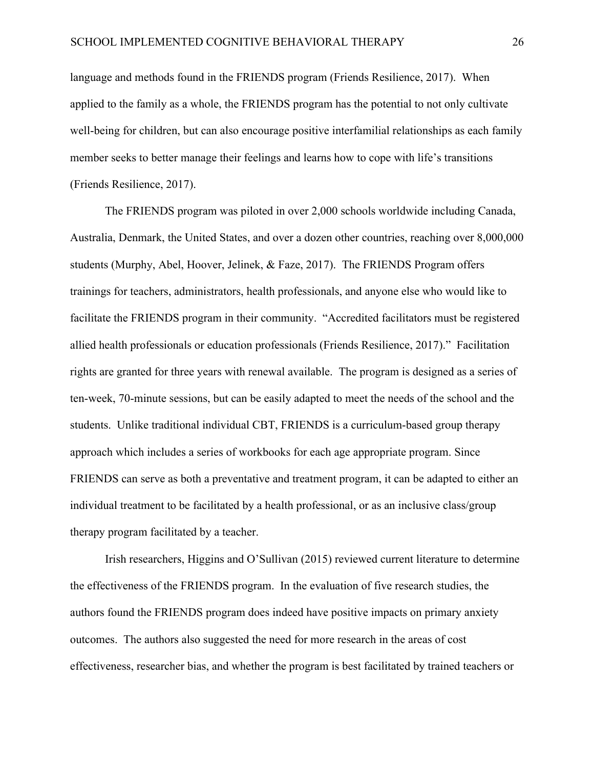language and methods found in the FRIENDS program (Friends Resilience, 2017). When applied to the family as a whole, the FRIENDS program has the potential to not only cultivate well-being for children, but can also encourage positive interfamilial relationships as each family member seeks to better manage their feelings and learns how to cope with life's transitions (Friends Resilience, 2017).

The FRIENDS program was piloted in over 2,000 schools worldwide including Canada, Australia, Denmark, the United States, and over a dozen other countries, reaching over 8,000,000 students (Murphy, Abel, Hoover, Jelinek, & Faze, 2017). The FRIENDS Program offers trainings for teachers, administrators, health professionals, and anyone else who would like to facilitate the FRIENDS program in their community. "Accredited facilitators must be registered allied health professionals or education professionals (Friends Resilience, 2017)." Facilitation rights are granted for three years with renewal available. The program is designed as a series of ten-week, 70-minute sessions, but can be easily adapted to meet the needs of the school and the students. Unlike traditional individual CBT, FRIENDS is a curriculum-based group therapy approach which includes a series of workbooks for each age appropriate program. Since FRIENDS can serve as both a preventative and treatment program, it can be adapted to either an individual treatment to be facilitated by a health professional, or as an inclusive class/group therapy program facilitated by a teacher.

Irish researchers, Higgins and O'Sullivan (2015) reviewed current literature to determine the effectiveness of the FRIENDS program. In the evaluation of five research studies, the authors found the FRIENDS program does indeed have positive impacts on primary anxiety outcomes. The authors also suggested the need for more research in the areas of cost effectiveness, researcher bias, and whether the program is best facilitated by trained teachers or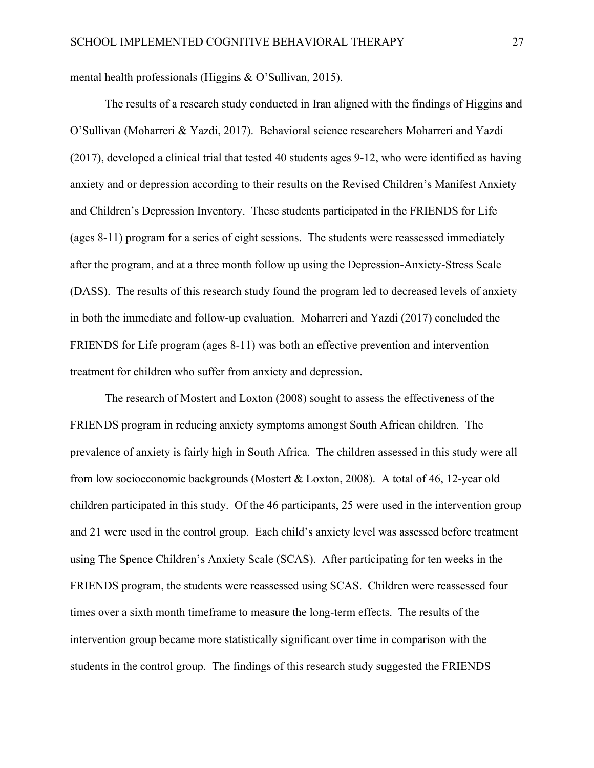mental health professionals (Higgins & O'Sullivan, 2015).

The results of a research study conducted in Iran aligned with the findings of Higgins and O'Sullivan (Moharreri & Yazdi, 2017). Behavioral science researchers Moharreri and Yazdi (2017), developed a clinical trial that tested 40 students ages 9-12, who were identified as having anxiety and or depression according to their results on the Revised Children's Manifest Anxiety and Children's Depression Inventory. These students participated in the FRIENDS for Life (ages 8-11) program for a series of eight sessions. The students were reassessed immediately after the program, and at a three month follow up using the Depression-Anxiety-Stress Scale (DASS). The results of this research study found the program led to decreased levels of anxiety in both the immediate and follow-up evaluation. Moharreri and Yazdi (2017) concluded the FRIENDS for Life program (ages 8-11) was both an effective prevention and intervention treatment for children who suffer from anxiety and depression.

The research of Mostert and Loxton (2008) sought to assess the effectiveness of the FRIENDS program in reducing anxiety symptoms amongst South African children. The prevalence of anxiety is fairly high in South Africa. The children assessed in this study were all from low socioeconomic backgrounds (Mostert & Loxton, 2008). A total of 46, 12-year old children participated in this study. Of the 46 participants, 25 were used in the intervention group and 21 were used in the control group. Each child's anxiety level was assessed before treatment using The Spence Children's Anxiety Scale (SCAS). After participating for ten weeks in the FRIENDS program, the students were reassessed using SCAS. Children were reassessed four times over a sixth month timeframe to measure the long-term effects. The results of the intervention group became more statistically significant over time in comparison with the students in the control group. The findings of this research study suggested the FRIENDS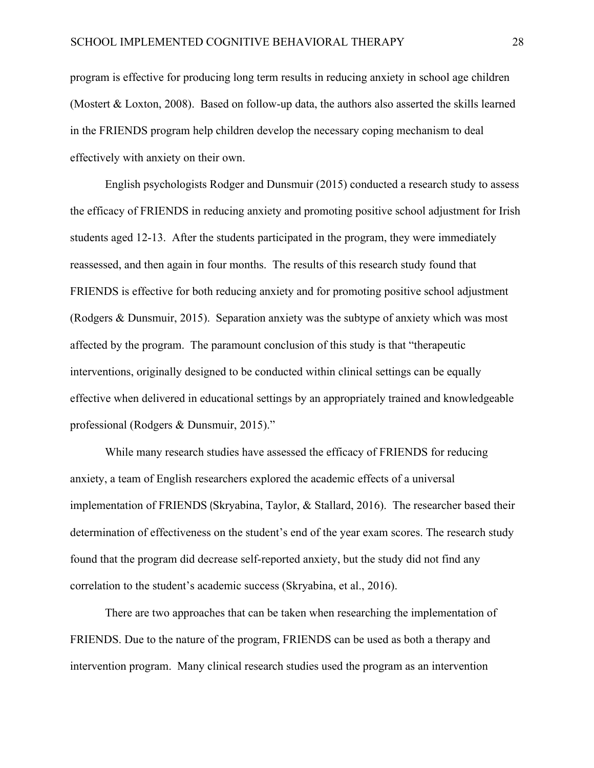program is effective for producing long term results in reducing anxiety in school age children (Mostert & Loxton, 2008). Based on follow-up data, the authors also asserted the skills learned in the FRIENDS program help children develop the necessary coping mechanism to deal effectively with anxiety on their own.

English psychologists Rodger and Dunsmuir (2015) conducted a research study to assess the efficacy of FRIENDS in reducing anxiety and promoting positive school adjustment for Irish students aged 12-13. After the students participated in the program, they were immediately reassessed, and then again in four months. The results of this research study found that FRIENDS is effective for both reducing anxiety and for promoting positive school adjustment (Rodgers & Dunsmuir, 2015). Separation anxiety was the subtype of anxiety which was most affected by the program. The paramount conclusion of this study is that "therapeutic interventions, originally designed to be conducted within clinical settings can be equally effective when delivered in educational settings by an appropriately trained and knowledgeable professional (Rodgers & Dunsmuir, 2015)."

While many research studies have assessed the efficacy of FRIENDS for reducing anxiety, a team of English researchers explored the academic effects of a universal implementation of FRIENDS (Skryabina, Taylor, & Stallard, 2016). The researcher based their determination of effectiveness on the student's end of the year exam scores. The research study found that the program did decrease self-reported anxiety, but the study did not find any correlation to the student's academic success (Skryabina, et al., 2016).

There are two approaches that can be taken when researching the implementation of FRIENDS. Due to the nature of the program, FRIENDS can be used as both a therapy and intervention program. Many clinical research studies used the program as an intervention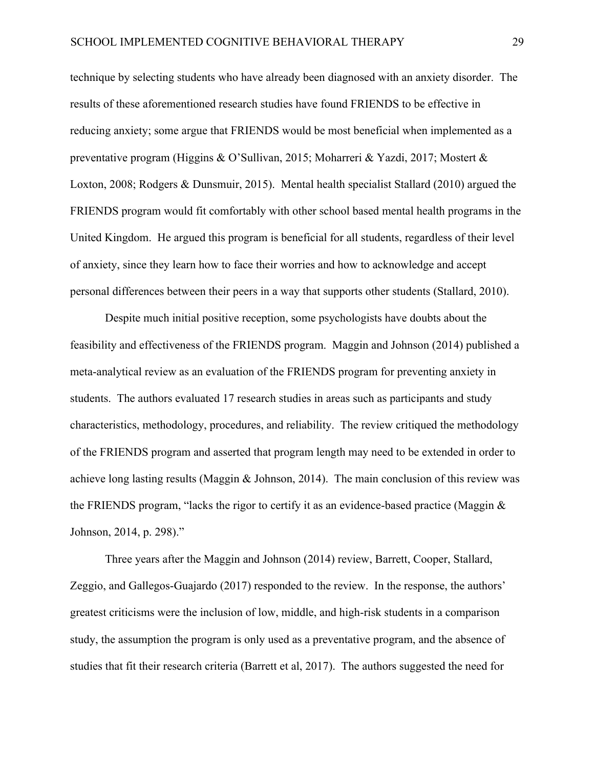technique by selecting students who have already been diagnosed with an anxiety disorder. The results of these aforementioned research studies have found FRIENDS to be effective in reducing anxiety; some argue that FRIENDS would be most beneficial when implemented as a preventative program (Higgins & O'Sullivan, 2015; Moharreri & Yazdi, 2017; Mostert & Loxton, 2008; Rodgers & Dunsmuir, 2015). Mental health specialist Stallard (2010) argued the FRIENDS program would fit comfortably with other school based mental health programs in the United Kingdom. He argued this program is beneficial for all students, regardless of their level of anxiety, since they learn how to face their worries and how to acknowledge and accept personal differences between their peers in a way that supports other students (Stallard, 2010).

Despite much initial positive reception, some psychologists have doubts about the feasibility and effectiveness of the FRIENDS program. Maggin and Johnson (2014) published a meta-analytical review as an evaluation of the FRIENDS program for preventing anxiety in students. The authors evaluated 17 research studies in areas such as participants and study characteristics, methodology, procedures, and reliability. The review critiqued the methodology of the FRIENDS program and asserted that program length may need to be extended in order to achieve long lasting results (Maggin & Johnson, 2014). The main conclusion of this review was the FRIENDS program, "lacks the rigor to certify it as an evidence-based practice (Maggin & Johnson, 2014, p. 298)."

Three years after the Maggin and Johnson (2014) review, Barrett, Cooper, Stallard, Zeggio, and Gallegos-Guajardo (2017) responded to the review. In the response, the authors' greatest criticisms were the inclusion of low, middle, and high-risk students in a comparison study, the assumption the program is only used as a preventative program, and the absence of studies that fit their research criteria (Barrett et al, 2017). The authors suggested the need for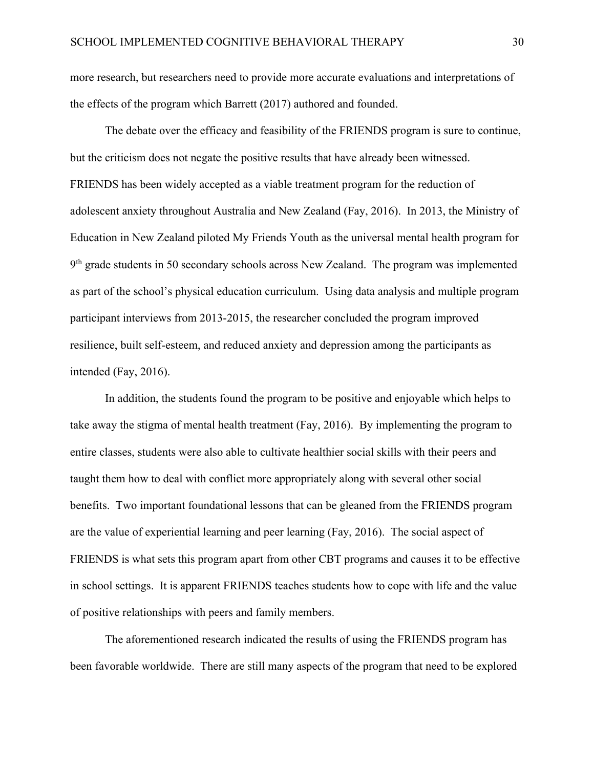more research, but researchers need to provide more accurate evaluations and interpretations of the effects of the program which Barrett (2017) authored and founded.

The debate over the efficacy and feasibility of the FRIENDS program is sure to continue, but the criticism does not negate the positive results that have already been witnessed. FRIENDS has been widely accepted as a viable treatment program for the reduction of adolescent anxiety throughout Australia and New Zealand (Fay, 2016). In 2013, the Ministry of Education in New Zealand piloted My Friends Youth as the universal mental health program for 9<sup>th</sup> grade students in 50 secondary schools across New Zealand. The program was implemented as part of the school's physical education curriculum. Using data analysis and multiple program participant interviews from 2013-2015, the researcher concluded the program improved resilience, built self-esteem, and reduced anxiety and depression among the participants as intended (Fay, 2016).

In addition, the students found the program to be positive and enjoyable which helps to take away the stigma of mental health treatment (Fay, 2016). By implementing the program to entire classes, students were also able to cultivate healthier social skills with their peers and taught them how to deal with conflict more appropriately along with several other social benefits. Two important foundational lessons that can be gleaned from the FRIENDS program are the value of experiential learning and peer learning (Fay, 2016). The social aspect of FRIENDS is what sets this program apart from other CBT programs and causes it to be effective in school settings. It is apparent FRIENDS teaches students how to cope with life and the value of positive relationships with peers and family members.

The aforementioned research indicated the results of using the FRIENDS program has been favorable worldwide. There are still many aspects of the program that need to be explored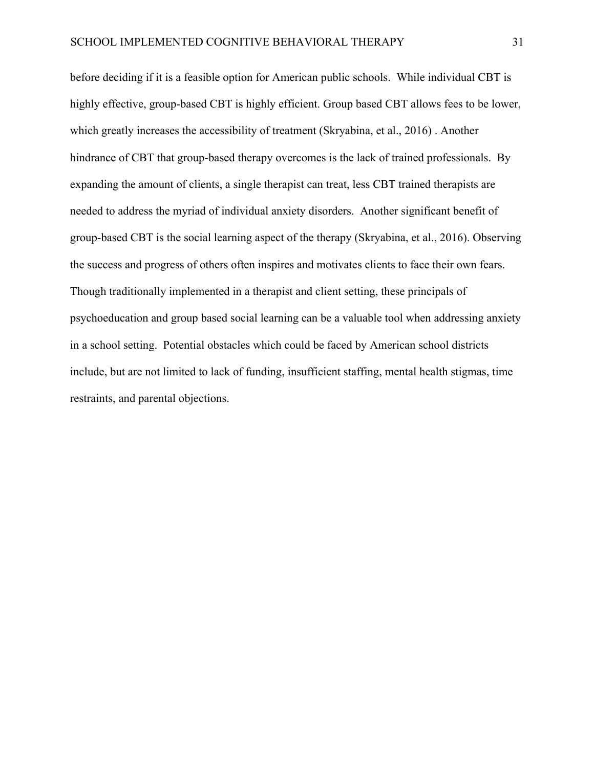before deciding if it is a feasible option for American public schools. While individual CBT is highly effective, group-based CBT is highly efficient. Group based CBT allows fees to be lower, which greatly increases the accessibility of treatment (Skryabina, et al., 2016) . Another hindrance of CBT that group-based therapy overcomes is the lack of trained professionals. By expanding the amount of clients, a single therapist can treat, less CBT trained therapists are needed to address the myriad of individual anxiety disorders. Another significant benefit of group-based CBT is the social learning aspect of the therapy (Skryabina, et al., 2016). Observing the success and progress of others often inspires and motivates clients to face their own fears. Though traditionally implemented in a therapist and client setting, these principals of psychoeducation and group based social learning can be a valuable tool when addressing anxiety in a school setting. Potential obstacles which could be faced by American school districts include, but are not limited to lack of funding, insufficient staffing, mental health stigmas, time restraints, and parental objections.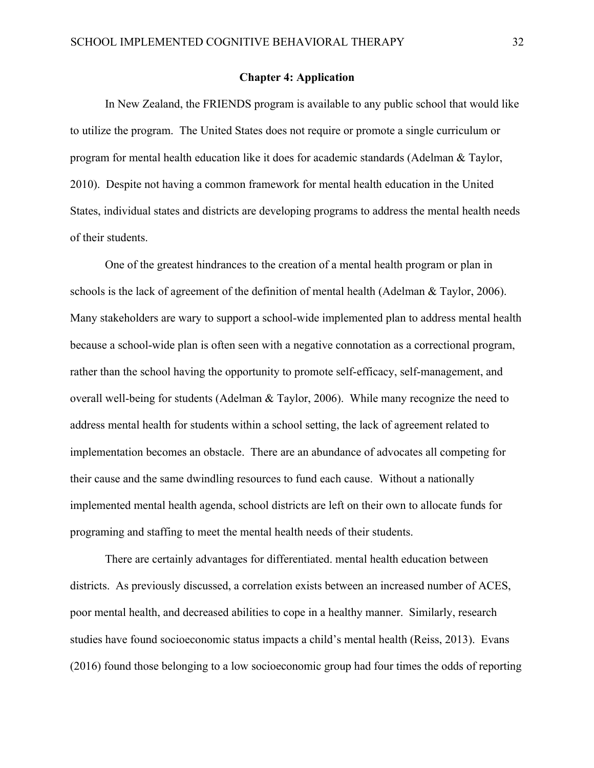#### **Chapter 4: Application**

In New Zealand, the FRIENDS program is available to any public school that would like to utilize the program. The United States does not require or promote a single curriculum or program for mental health education like it does for academic standards (Adelman & Taylor, 2010). Despite not having a common framework for mental health education in the United States, individual states and districts are developing programs to address the mental health needs of their students.

One of the greatest hindrances to the creation of a mental health program or plan in schools is the lack of agreement of the definition of mental health (Adelman & Taylor, 2006). Many stakeholders are wary to support a school-wide implemented plan to address mental health because a school-wide plan is often seen with a negative connotation as a correctional program, rather than the school having the opportunity to promote self-efficacy, self-management, and overall well-being for students (Adelman & Taylor, 2006). While many recognize the need to address mental health for students within a school setting, the lack of agreement related to implementation becomes an obstacle. There are an abundance of advocates all competing for their cause and the same dwindling resources to fund each cause. Without a nationally implemented mental health agenda, school districts are left on their own to allocate funds for programing and staffing to meet the mental health needs of their students.

There are certainly advantages for differentiated. mental health education between districts. As previously discussed, a correlation exists between an increased number of ACES, poor mental health, and decreased abilities to cope in a healthy manner. Similarly, research studies have found socioeconomic status impacts a child's mental health (Reiss, 2013). Evans (2016) found those belonging to a low socioeconomic group had four times the odds of reporting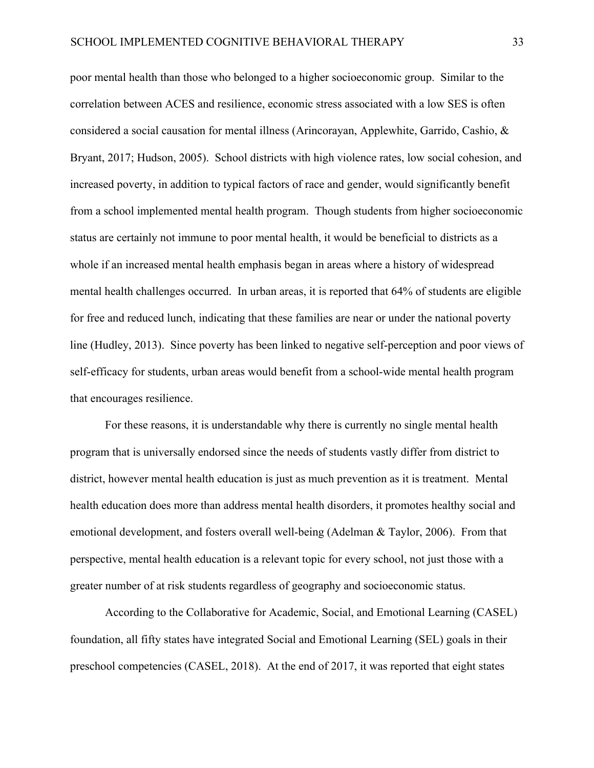poor mental health than those who belonged to a higher socioeconomic group. Similar to the correlation between ACES and resilience, economic stress associated with a low SES is often considered a social causation for mental illness (Arincorayan, Applewhite, Garrido, Cashio, & Bryant, 2017; Hudson, 2005). School districts with high violence rates, low social cohesion, and increased poverty, in addition to typical factors of race and gender, would significantly benefit from a school implemented mental health program. Though students from higher socioeconomic status are certainly not immune to poor mental health, it would be beneficial to districts as a whole if an increased mental health emphasis began in areas where a history of widespread mental health challenges occurred. In urban areas, it is reported that 64% of students are eligible for free and reduced lunch, indicating that these families are near or under the national poverty line (Hudley, 2013). Since poverty has been linked to negative self-perception and poor views of self-efficacy for students, urban areas would benefit from a school-wide mental health program that encourages resilience.

For these reasons, it is understandable why there is currently no single mental health program that is universally endorsed since the needs of students vastly differ from district to district, however mental health education is just as much prevention as it is treatment. Mental health education does more than address mental health disorders, it promotes healthy social and emotional development, and fosters overall well-being (Adelman & Taylor, 2006). From that perspective, mental health education is a relevant topic for every school, not just those with a greater number of at risk students regardless of geography and socioeconomic status.

According to the Collaborative for Academic, Social, and Emotional Learning (CASEL) foundation, all fifty states have integrated Social and Emotional Learning (SEL) goals in their preschool competencies (CASEL, 2018). At the end of 2017, it was reported that eight states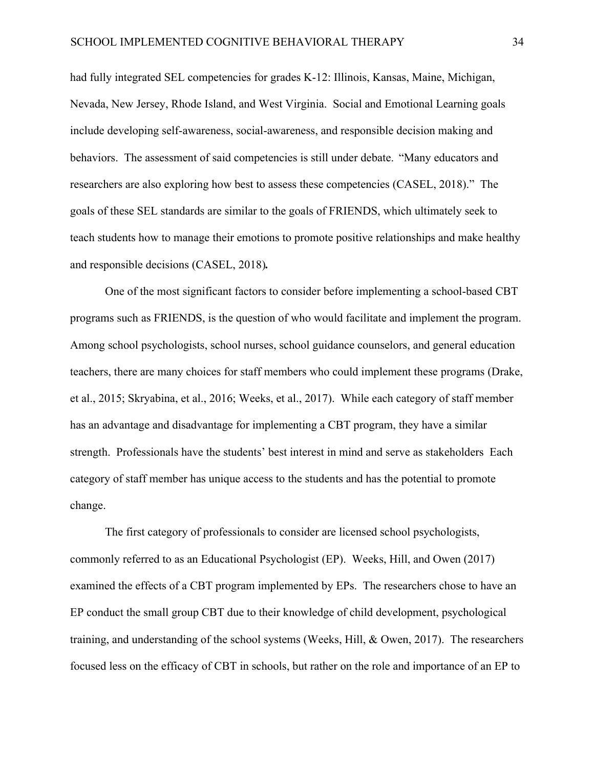had fully integrated SEL competencies for grades K-12: Illinois, Kansas, Maine, Michigan, Nevada, New Jersey, Rhode Island, and West Virginia. Social and Emotional Learning goals include developing self-awareness, social-awareness, and responsible decision making and behaviors. The assessment of said competencies is still under debate. "Many educators and researchers are also exploring how best to assess these competencies (CASEL, 2018)." The goals of these SEL standards are similar to the goals of FRIENDS, which ultimately seek to teach students how to manage their emotions to promote positive relationships and make healthy and responsible decisions (CASEL, 2018)*.* 

One of the most significant factors to consider before implementing a school-based CBT programs such as FRIENDS, is the question of who would facilitate and implement the program. Among school psychologists, school nurses, school guidance counselors, and general education teachers, there are many choices for staff members who could implement these programs (Drake, et al., 2015; Skryabina, et al., 2016; Weeks, et al., 2017). While each category of staff member has an advantage and disadvantage for implementing a CBT program, they have a similar strength. Professionals have the students' best interest in mind and serve as stakeholders Each category of staff member has unique access to the students and has the potential to promote change.

The first category of professionals to consider are licensed school psychologists, commonly referred to as an Educational Psychologist (EP). Weeks, Hill, and Owen (2017) examined the effects of a CBT program implemented by EPs. The researchers chose to have an EP conduct the small group CBT due to their knowledge of child development, psychological training, and understanding of the school systems (Weeks, Hill, & Owen, 2017). The researchers focused less on the efficacy of CBT in schools, but rather on the role and importance of an EP to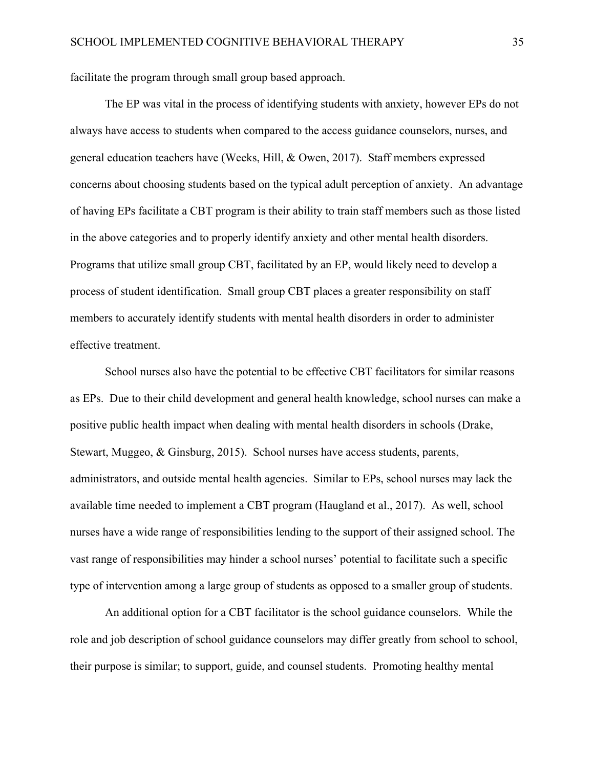facilitate the program through small group based approach.

The EP was vital in the process of identifying students with anxiety, however EPs do not always have access to students when compared to the access guidance counselors, nurses, and general education teachers have (Weeks, Hill, & Owen, 2017). Staff members expressed concerns about choosing students based on the typical adult perception of anxiety. An advantage of having EPs facilitate a CBT program is their ability to train staff members such as those listed in the above categories and to properly identify anxiety and other mental health disorders. Programs that utilize small group CBT, facilitated by an EP, would likely need to develop a process of student identification. Small group CBT places a greater responsibility on staff members to accurately identify students with mental health disorders in order to administer effective treatment.

School nurses also have the potential to be effective CBT facilitators for similar reasons as EPs. Due to their child development and general health knowledge, school nurses can make a positive public health impact when dealing with mental health disorders in schools (Drake, Stewart, Muggeo, & Ginsburg, 2015). School nurses have access students, parents, administrators, and outside mental health agencies. Similar to EPs, school nurses may lack the available time needed to implement a CBT program (Haugland et al., 2017). As well, school nurses have a wide range of responsibilities lending to the support of their assigned school. The vast range of responsibilities may hinder a school nurses' potential to facilitate such a specific type of intervention among a large group of students as opposed to a smaller group of students.

An additional option for a CBT facilitator is the school guidance counselors. While the role and job description of school guidance counselors may differ greatly from school to school, their purpose is similar; to support, guide, and counsel students. Promoting healthy mental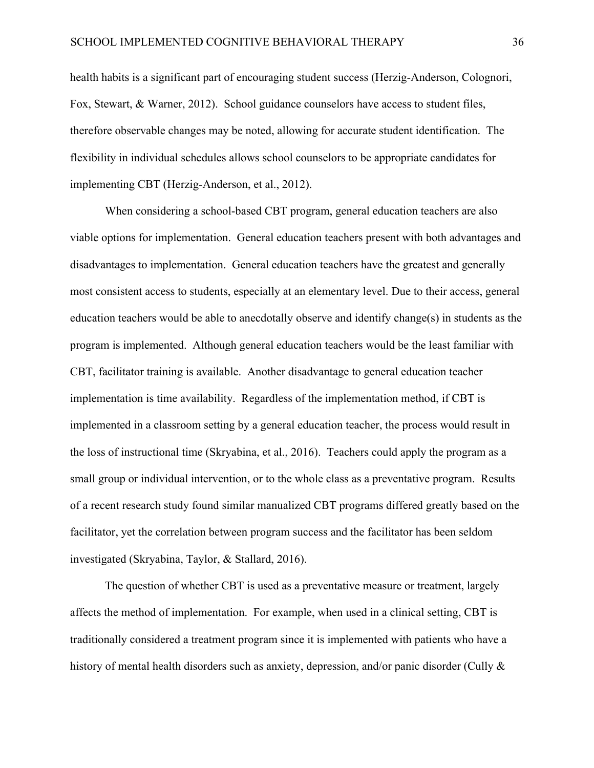health habits is a significant part of encouraging student success (Herzig-Anderson, Colognori, Fox, Stewart, & Warner, 2012). School guidance counselors have access to student files, therefore observable changes may be noted, allowing for accurate student identification. The flexibility in individual schedules allows school counselors to be appropriate candidates for implementing CBT (Herzig-Anderson, et al., 2012).

When considering a school-based CBT program, general education teachers are also viable options for implementation. General education teachers present with both advantages and disadvantages to implementation. General education teachers have the greatest and generally most consistent access to students, especially at an elementary level. Due to their access, general education teachers would be able to anecdotally observe and identify change(s) in students as the program is implemented. Although general education teachers would be the least familiar with CBT, facilitator training is available. Another disadvantage to general education teacher implementation is time availability. Regardless of the implementation method, if CBT is implemented in a classroom setting by a general education teacher, the process would result in the loss of instructional time (Skryabina, et al., 2016). Teachers could apply the program as a small group or individual intervention, or to the whole class as a preventative program. Results of a recent research study found similar manualized CBT programs differed greatly based on the facilitator, yet the correlation between program success and the facilitator has been seldom investigated (Skryabina, Taylor, & Stallard, 2016).

The question of whether CBT is used as a preventative measure or treatment, largely affects the method of implementation. For example, when used in a clinical setting, CBT is traditionally considered a treatment program since it is implemented with patients who have a history of mental health disorders such as anxiety, depression, and/or panic disorder (Cully &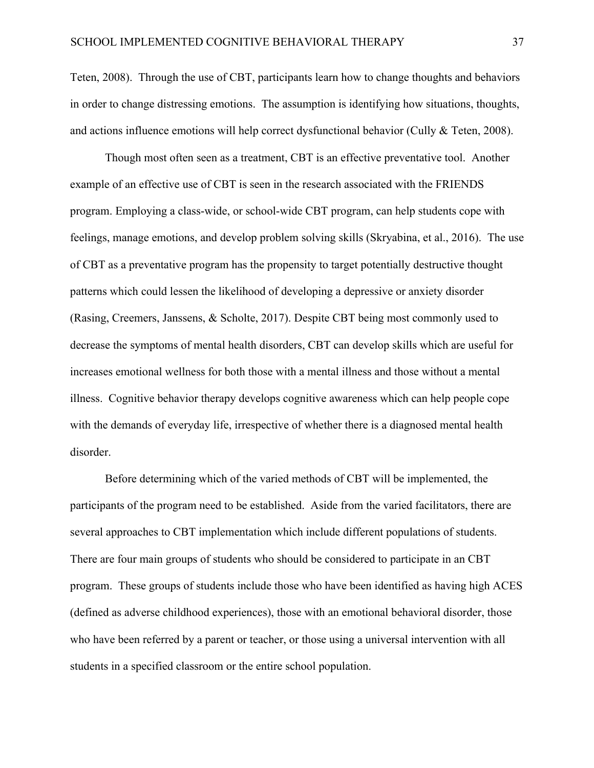Teten, 2008). Through the use of CBT, participants learn how to change thoughts and behaviors in order to change distressing emotions. The assumption is identifying how situations, thoughts, and actions influence emotions will help correct dysfunctional behavior (Cully & Teten, 2008).

Though most often seen as a treatment, CBT is an effective preventative tool. Another example of an effective use of CBT is seen in the research associated with the FRIENDS program. Employing a class-wide, or school-wide CBT program, can help students cope with feelings, manage emotions, and develop problem solving skills (Skryabina, et al., 2016). The use of CBT as a preventative program has the propensity to target potentially destructive thought patterns which could lessen the likelihood of developing a depressive or anxiety disorder (Rasing, Creemers, Janssens, & Scholte, 2017). Despite CBT being most commonly used to decrease the symptoms of mental health disorders, CBT can develop skills which are useful for increases emotional wellness for both those with a mental illness and those without a mental illness. Cognitive behavior therapy develops cognitive awareness which can help people cope with the demands of everyday life, irrespective of whether there is a diagnosed mental health disorder.

Before determining which of the varied methods of CBT will be implemented, the participants of the program need to be established. Aside from the varied facilitators, there are several approaches to CBT implementation which include different populations of students. There are four main groups of students who should be considered to participate in an CBT program. These groups of students include those who have been identified as having high ACES (defined as adverse childhood experiences), those with an emotional behavioral disorder, those who have been referred by a parent or teacher, or those using a universal intervention with all students in a specified classroom or the entire school population.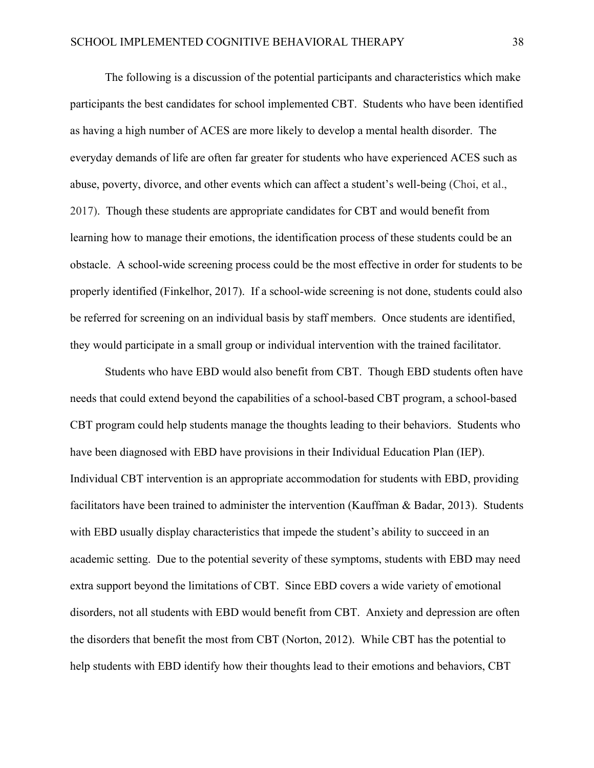The following is a discussion of the potential participants and characteristics which make participants the best candidates for school implemented CBT. Students who have been identified as having a high number of ACES are more likely to develop a mental health disorder. The everyday demands of life are often far greater for students who have experienced ACES such as abuse, poverty, divorce, and other events which can affect a student's well-being (Choi, et al., 2017). Though these students are appropriate candidates for CBT and would benefit from learning how to manage their emotions, the identification process of these students could be an obstacle. A school-wide screening process could be the most effective in order for students to be properly identified (Finkelhor, 2017). If a school-wide screening is not done, students could also be referred for screening on an individual basis by staff members. Once students are identified, they would participate in a small group or individual intervention with the trained facilitator.

Students who have EBD would also benefit from CBT. Though EBD students often have needs that could extend beyond the capabilities of a school-based CBT program, a school-based CBT program could help students manage the thoughts leading to their behaviors. Students who have been diagnosed with EBD have provisions in their Individual Education Plan (IEP). Individual CBT intervention is an appropriate accommodation for students with EBD, providing facilitators have been trained to administer the intervention (Kauffman & Badar, 2013). Students with EBD usually display characteristics that impede the student's ability to succeed in an academic setting. Due to the potential severity of these symptoms, students with EBD may need extra support beyond the limitations of CBT. Since EBD covers a wide variety of emotional disorders, not all students with EBD would benefit from CBT. Anxiety and depression are often the disorders that benefit the most from CBT (Norton, 2012). While CBT has the potential to help students with EBD identify how their thoughts lead to their emotions and behaviors, CBT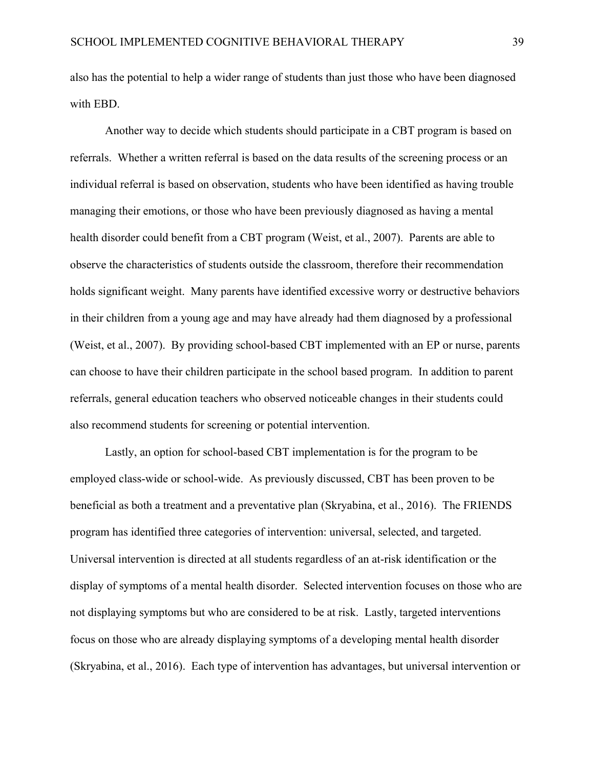also has the potential to help a wider range of students than just those who have been diagnosed with EBD.

Another way to decide which students should participate in a CBT program is based on referrals. Whether a written referral is based on the data results of the screening process or an individual referral is based on observation, students who have been identified as having trouble managing their emotions, or those who have been previously diagnosed as having a mental health disorder could benefit from a CBT program (Weist, et al., 2007). Parents are able to observe the characteristics of students outside the classroom, therefore their recommendation holds significant weight. Many parents have identified excessive worry or destructive behaviors in their children from a young age and may have already had them diagnosed by a professional (Weist, et al., 2007). By providing school-based CBT implemented with an EP or nurse, parents can choose to have their children participate in the school based program. In addition to parent referrals, general education teachers who observed noticeable changes in their students could also recommend students for screening or potential intervention.

Lastly, an option for school-based CBT implementation is for the program to be employed class-wide or school-wide. As previously discussed, CBT has been proven to be beneficial as both a treatment and a preventative plan (Skryabina, et al., 2016). The FRIENDS program has identified three categories of intervention: universal, selected, and targeted. Universal intervention is directed at all students regardless of an at-risk identification or the display of symptoms of a mental health disorder. Selected intervention focuses on those who are not displaying symptoms but who are considered to be at risk. Lastly, targeted interventions focus on those who are already displaying symptoms of a developing mental health disorder (Skryabina, et al., 2016). Each type of intervention has advantages, but universal intervention or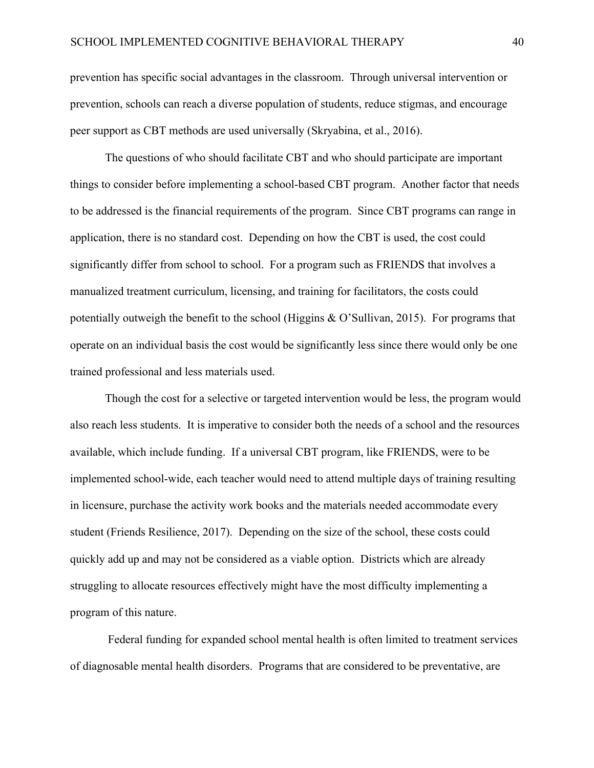prevention has specific social advantages in the classroom. Through universal intervention or prevention, schools can reach a diverse population of students, reduce stigmas, and encourage peer support as CBT methods are used universally (Skryabina, et al., 2016).

The questions of who should facilitate CBT and who should participate are important things to consider before implementing a school-based CBT program. Another factor that needs to be addressed is the financial requirements of the program. Since CBT programs can range in application, there is no standard cost. Depending on how the CBT is used, the cost could significantly differ from school to school. For a program such as FRIENDS that involves a manualized treatment curriculum, licensing, and training for facilitators, the costs could potentially outweigh the benefit to the school (Higgins & O'Sullivan, 2015). For programs that operate on an individual basis the cost would be significantly less since there would only be one trained professional and less materials used.

Though the cost for a selective or targeted intervention would be less, the program would also reach less students. It is imperative to consider both the needs of a school and the resources available, which include funding. If a universal CBT program, like FRIENDS, were to be implemented school-wide, each teacher would need to attend multiple days of training resulting in licensure, purchase the activity work books and the materials needed accommodate every student (Friends Resilience, 2017). Depending on the size of the school, these costs could quickly add up and may not be considered as a viable option. Districts which are already struggling to allocate resources effectively might have the most difficulty implementing a program of this nature.

Federal funding for expanded school mental health is often limited to treatment services of diagnosable mental health disorders. Programs that are considered to be preventative, are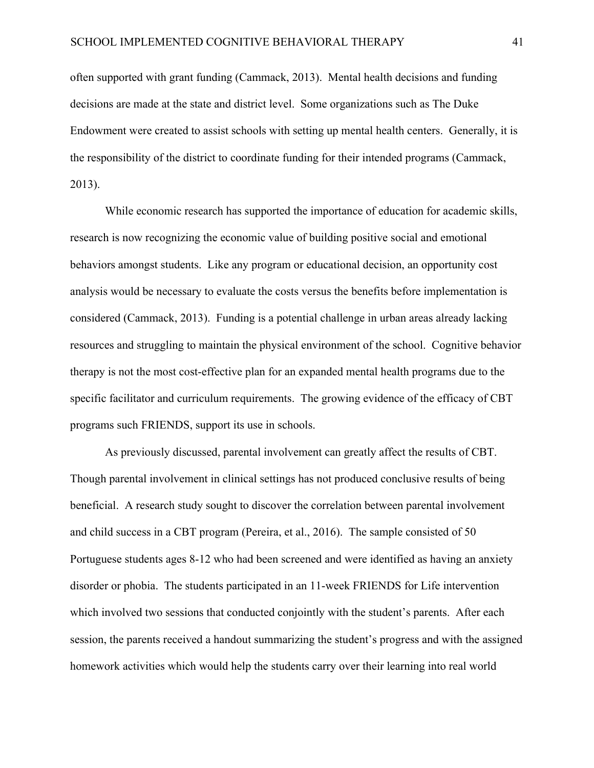often supported with grant funding (Cammack, 2013). Mental health decisions and funding decisions are made at the state and district level. Some organizations such as The Duke Endowment were created to assist schools with setting up mental health centers. Generally, it is the responsibility of the district to coordinate funding for their intended programs (Cammack, 2013).

While economic research has supported the importance of education for academic skills, research is now recognizing the economic value of building positive social and emotional behaviors amongst students. Like any program or educational decision, an opportunity cost analysis would be necessary to evaluate the costs versus the benefits before implementation is considered (Cammack, 2013). Funding is a potential challenge in urban areas already lacking resources and struggling to maintain the physical environment of the school. Cognitive behavior therapy is not the most cost-effective plan for an expanded mental health programs due to the specific facilitator and curriculum requirements. The growing evidence of the efficacy of CBT programs such FRIENDS, support its use in schools.

As previously discussed, parental involvement can greatly affect the results of CBT. Though parental involvement in clinical settings has not produced conclusive results of being beneficial. A research study sought to discover the correlation between parental involvement and child success in a CBT program (Pereira, et al., 2016). The sample consisted of 50 Portuguese students ages 8-12 who had been screened and were identified as having an anxiety disorder or phobia. The students participated in an 11-week FRIENDS for Life intervention which involved two sessions that conducted conjointly with the student's parents. After each session, the parents received a handout summarizing the student's progress and with the assigned homework activities which would help the students carry over their learning into real world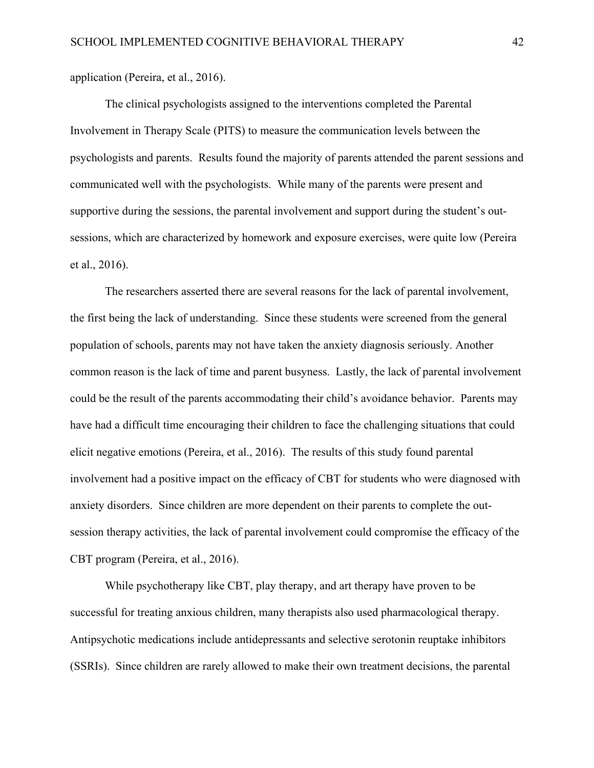application (Pereira, et al., 2016).

The clinical psychologists assigned to the interventions completed the Parental Involvement in Therapy Scale (PITS) to measure the communication levels between the psychologists and parents. Results found the majority of parents attended the parent sessions and communicated well with the psychologists. While many of the parents were present and supportive during the sessions, the parental involvement and support during the student's outsessions, which are characterized by homework and exposure exercises, were quite low (Pereira et al., 2016).

The researchers asserted there are several reasons for the lack of parental involvement, the first being the lack of understanding. Since these students were screened from the general population of schools, parents may not have taken the anxiety diagnosis seriously. Another common reason is the lack of time and parent busyness. Lastly, the lack of parental involvement could be the result of the parents accommodating their child's avoidance behavior. Parents may have had a difficult time encouraging their children to face the challenging situations that could elicit negative emotions (Pereira, et al., 2016). The results of this study found parental involvement had a positive impact on the efficacy of CBT for students who were diagnosed with anxiety disorders. Since children are more dependent on their parents to complete the outsession therapy activities, the lack of parental involvement could compromise the efficacy of the CBT program (Pereira, et al., 2016).

While psychotherapy like CBT, play therapy, and art therapy have proven to be successful for treating anxious children, many therapists also used pharmacological therapy. Antipsychotic medications include antidepressants and selective serotonin reuptake inhibitors (SSRIs). Since children are rarely allowed to make their own treatment decisions, the parental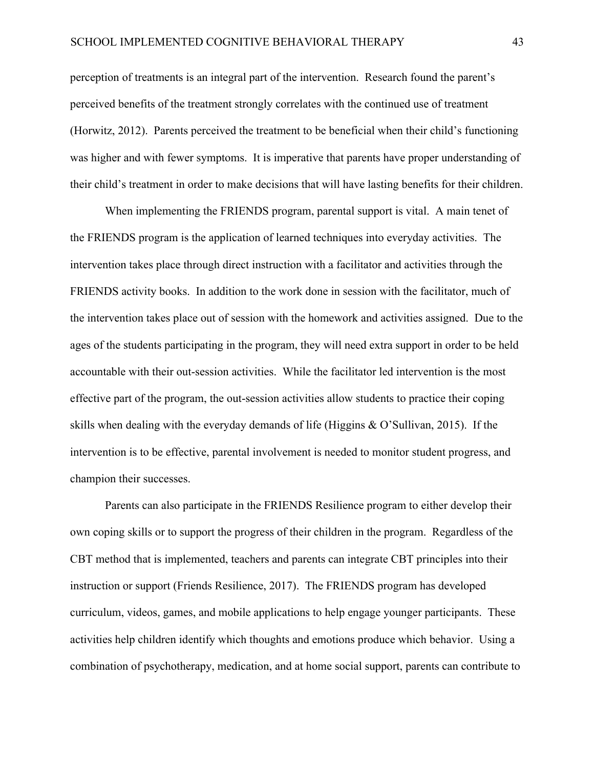perception of treatments is an integral part of the intervention. Research found the parent's perceived benefits of the treatment strongly correlates with the continued use of treatment (Horwitz, 2012). Parents perceived the treatment to be beneficial when their child's functioning was higher and with fewer symptoms. It is imperative that parents have proper understanding of their child's treatment in order to make decisions that will have lasting benefits for their children.

When implementing the FRIENDS program, parental support is vital. A main tenet of the FRIENDS program is the application of learned techniques into everyday activities. The intervention takes place through direct instruction with a facilitator and activities through the FRIENDS activity books. In addition to the work done in session with the facilitator, much of the intervention takes place out of session with the homework and activities assigned. Due to the ages of the students participating in the program, they will need extra support in order to be held accountable with their out-session activities. While the facilitator led intervention is the most effective part of the program, the out-session activities allow students to practice their coping skills when dealing with the everyday demands of life (Higgins & O'Sullivan, 2015). If the intervention is to be effective, parental involvement is needed to monitor student progress, and champion their successes.

Parents can also participate in the FRIENDS Resilience program to either develop their own coping skills or to support the progress of their children in the program. Regardless of the CBT method that is implemented, teachers and parents can integrate CBT principles into their instruction or support (Friends Resilience, 2017). The FRIENDS program has developed curriculum, videos, games, and mobile applications to help engage younger participants. These activities help children identify which thoughts and emotions produce which behavior. Using a combination of psychotherapy, medication, and at home social support, parents can contribute to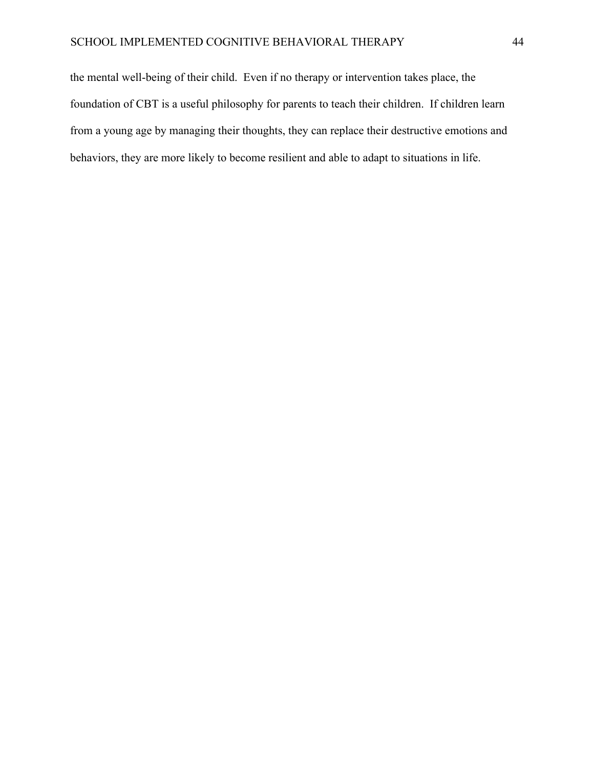the mental well-being of their child. Even if no therapy or intervention takes place, the foundation of CBT is a useful philosophy for parents to teach their children. If children learn from a young age by managing their thoughts, they can replace their destructive emotions and behaviors, they are more likely to become resilient and able to adapt to situations in life.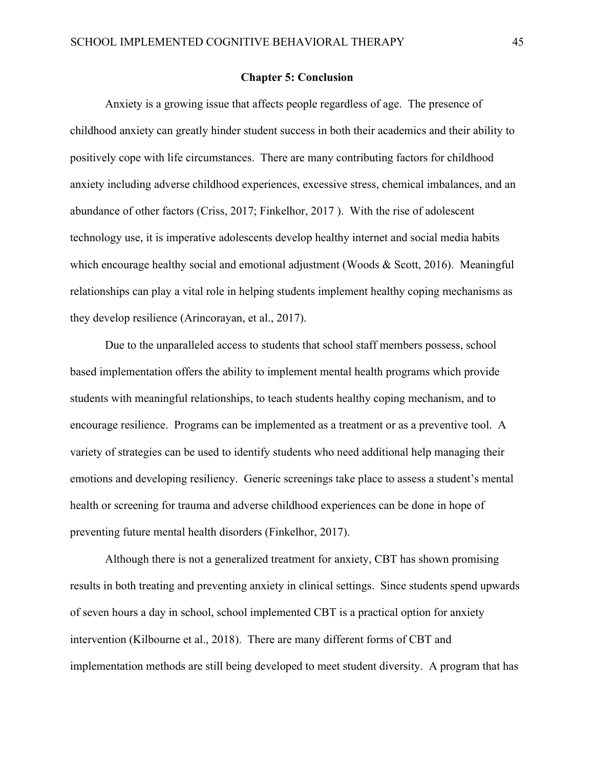#### **Chapter 5: Conclusion**

Anxiety is a growing issue that affects people regardless of age. The presence of childhood anxiety can greatly hinder student success in both their academics and their ability to positively cope with life circumstances. There are many contributing factors for childhood anxiety including adverse childhood experiences, excessive stress, chemical imbalances, and an abundance of other factors (Criss, 2017; Finkelhor, 2017 ). With the rise of adolescent technology use, it is imperative adolescents develop healthy internet and social media habits which encourage healthy social and emotional adjustment (Woods & Scott, 2016). Meaningful relationships can play a vital role in helping students implement healthy coping mechanisms as they develop resilience (Arincorayan, et al., 2017).

Due to the unparalleled access to students that school staff members possess, school based implementation offers the ability to implement mental health programs which provide students with meaningful relationships, to teach students healthy coping mechanism, and to encourage resilience. Programs can be implemented as a treatment or as a preventive tool. A variety of strategies can be used to identify students who need additional help managing their emotions and developing resiliency. Generic screenings take place to assess a student's mental health or screening for trauma and adverse childhood experiences can be done in hope of preventing future mental health disorders (Finkelhor, 2017).

Although there is not a generalized treatment for anxiety, CBT has shown promising results in both treating and preventing anxiety in clinical settings. Since students spend upwards of seven hours a day in school, school implemented CBT is a practical option for anxiety intervention (Kilbourne et al., 2018). There are many different forms of CBT and implementation methods are still being developed to meet student diversity. A program that has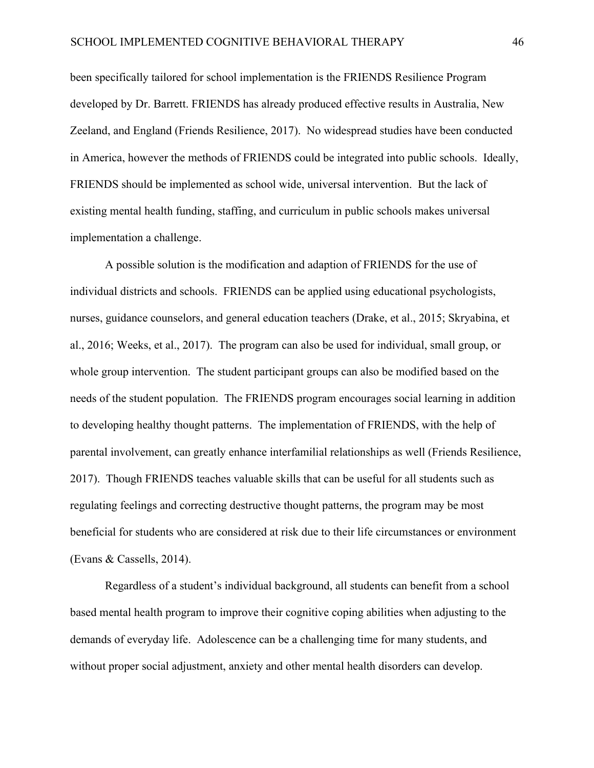been specifically tailored for school implementation is the FRIENDS Resilience Program developed by Dr. Barrett. FRIENDS has already produced effective results in Australia, New Zeeland, and England (Friends Resilience, 2017). No widespread studies have been conducted in America, however the methods of FRIENDS could be integrated into public schools. Ideally, FRIENDS should be implemented as school wide, universal intervention. But the lack of existing mental health funding, staffing, and curriculum in public schools makes universal implementation a challenge.

A possible solution is the modification and adaption of FRIENDS for the use of individual districts and schools. FRIENDS can be applied using educational psychologists, nurses, guidance counselors, and general education teachers (Drake, et al., 2015; Skryabina, et al., 2016; Weeks, et al., 2017). The program can also be used for individual, small group, or whole group intervention. The student participant groups can also be modified based on the needs of the student population. The FRIENDS program encourages social learning in addition to developing healthy thought patterns. The implementation of FRIENDS, with the help of parental involvement, can greatly enhance interfamilial relationships as well (Friends Resilience, 2017). Though FRIENDS teaches valuable skills that can be useful for all students such as regulating feelings and correcting destructive thought patterns, the program may be most beneficial for students who are considered at risk due to their life circumstances or environment (Evans & Cassells, 2014).

Regardless of a student's individual background, all students can benefit from a school based mental health program to improve their cognitive coping abilities when adjusting to the demands of everyday life. Adolescence can be a challenging time for many students, and without proper social adjustment, anxiety and other mental health disorders can develop.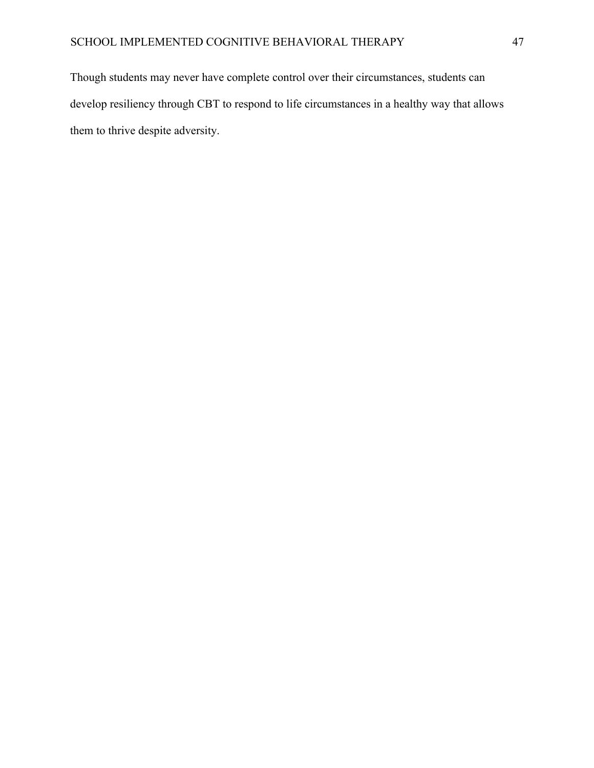Though students may never have complete control over their circumstances, students can develop resiliency through CBT to respond to life circumstances in a healthy way that allows them to thrive despite adversity.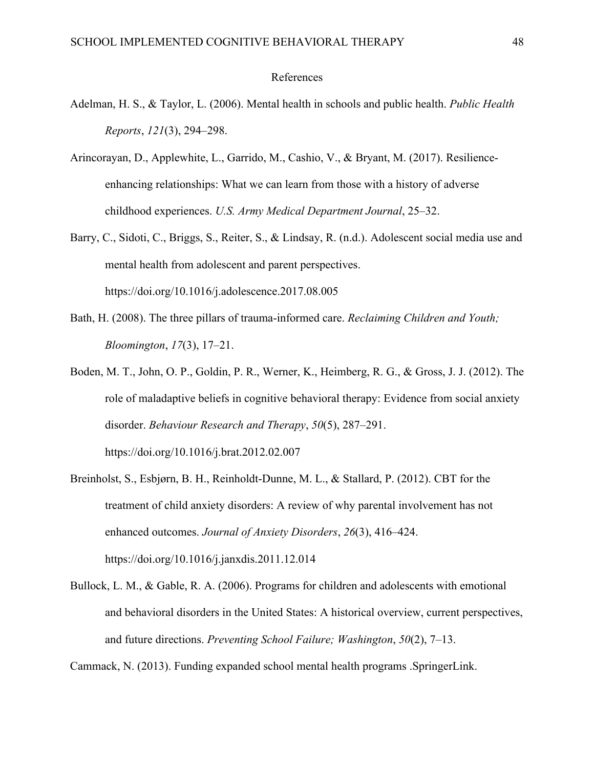#### References

- Adelman, H. S., & Taylor, L. (2006). Mental health in schools and public health. *Public Health Reports*, *121*(3), 294–298.
- Arincorayan, D., Applewhite, L., Garrido, M., Cashio, V., & Bryant, M. (2017). Resilienceenhancing relationships: What we can learn from those with a history of adverse childhood experiences. *U.S. Army Medical Department Journal*, 25–32.
- Barry, C., Sidoti, C., Briggs, S., Reiter, S., & Lindsay, R. (n.d.). Adolescent social media use and mental health from adolescent and parent perspectives. https://doi.org/10.1016/j.adolescence.2017.08.005
- Bath, H. (2008). The three pillars of trauma-informed care. *Reclaiming Children and Youth; Bloomington*, *17*(3), 17–21.
- Boden, M. T., John, O. P., Goldin, P. R., Werner, K., Heimberg, R. G., & Gross, J. J. (2012). The role of maladaptive beliefs in cognitive behavioral therapy: Evidence from social anxiety disorder. *Behaviour Research and Therapy*, *50*(5), 287–291. https://doi.org/10.1016/j.brat.2012.02.007
- Breinholst, S., Esbjørn, B. H., Reinholdt-Dunne, M. L., & Stallard, P. (2012). CBT for the treatment of child anxiety disorders: A review of why parental involvement has not enhanced outcomes. *Journal of Anxiety Disorders*, *26*(3), 416–424. https://doi.org/10.1016/j.janxdis.2011.12.014
- Bullock, L. M., & Gable, R. A. (2006). Programs for children and adolescents with emotional and behavioral disorders in the United States: A historical overview, current perspectives, and future directions. *Preventing School Failure; Washington*, *50*(2), 7–13.

Cammack, N. (2013). Funding expanded school mental health programs .SpringerLink.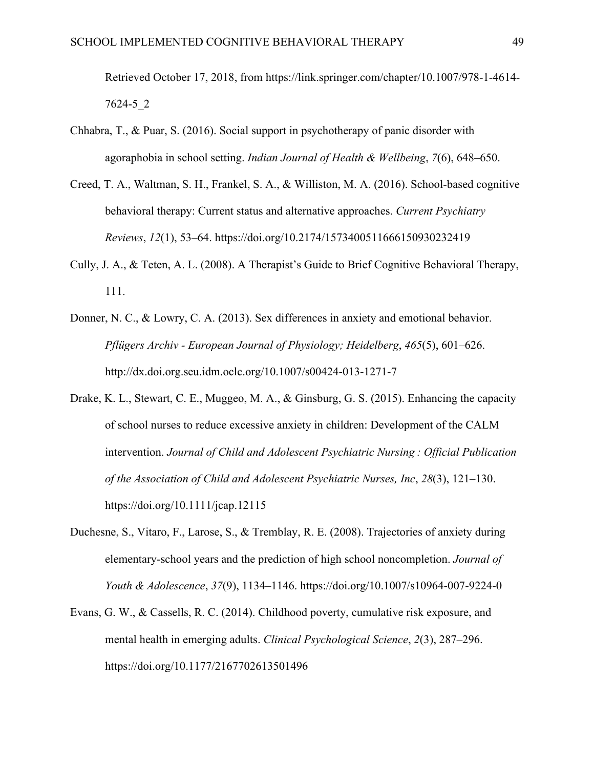Retrieved October 17, 2018, from https://link.springer.com/chapter/10.1007/978-1-4614- 7624-5\_2

- Chhabra, T., & Puar, S. (2016). Social support in psychotherapy of panic disorder with agoraphobia in school setting. *Indian Journal of Health & Wellbeing*, *7*(6), 648–650.
- Creed, T. A., Waltman, S. H., Frankel, S. A., & Williston, M. A. (2016). School-based cognitive behavioral therapy: Current status and alternative approaches. *Current Psychiatry Reviews*, *12*(1), 53–64. https://doi.org/10.2174/1573400511666150930232419
- Cully, J. A., & Teten, A. L. (2008). A Therapist's Guide to Brief Cognitive Behavioral Therapy, 111.
- Donner, N. C., & Lowry, C. A. (2013). Sex differences in anxiety and emotional behavior. *Pflügers Archiv - European Journal of Physiology; Heidelberg*, *465*(5), 601–626. http://dx.doi.org.seu.idm.oclc.org/10.1007/s00424-013-1271-7
- Drake, K. L., Stewart, C. E., Muggeo, M. A., & Ginsburg, G. S. (2015). Enhancing the capacity of school nurses to reduce excessive anxiety in children: Development of the CALM intervention. *Journal of Child and Adolescent Psychiatric Nursing : Official Publication of the Association of Child and Adolescent Psychiatric Nurses, Inc*, *28*(3), 121–130. https://doi.org/10.1111/jcap.12115
- Duchesne, S., Vitaro, F., Larose, S., & Tremblay, R. E. (2008). Trajectories of anxiety during elementary-school years and the prediction of high school noncompletion. *Journal of Youth & Adolescence*, *37*(9), 1134–1146. https://doi.org/10.1007/s10964-007-9224-0
- Evans, G. W., & Cassells, R. C. (2014). Childhood poverty, cumulative risk exposure, and mental health in emerging adults. *Clinical Psychological Science*, *2*(3), 287–296. https://doi.org/10.1177/2167702613501496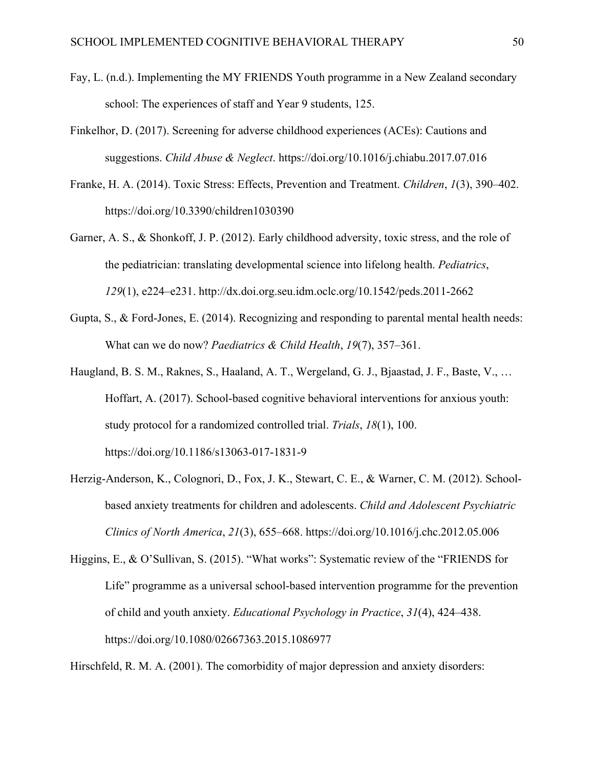- Fay, L. (n.d.). Implementing the MY FRIENDS Youth programme in a New Zealand secondary school: The experiences of staff and Year 9 students, 125.
- Finkelhor, D. (2017). Screening for adverse childhood experiences (ACEs): Cautions and suggestions. *Child Abuse & Neglect*. https://doi.org/10.1016/j.chiabu.2017.07.016
- Franke, H. A. (2014). Toxic Stress: Effects, Prevention and Treatment. *Children*, *1*(3), 390–402. https://doi.org/10.3390/children1030390
- Garner, A. S., & Shonkoff, J. P. (2012). Early childhood adversity, toxic stress, and the role of the pediatrician: translating developmental science into lifelong health. *Pediatrics*, *129*(1), e224–e231. http://dx.doi.org.seu.idm.oclc.org/10.1542/peds.2011-2662
- Gupta, S., & Ford-Jones, E. (2014). Recognizing and responding to parental mental health needs: What can we do now? *Paediatrics & Child Health*, *19*(7), 357–361.
- Haugland, B. S. M., Raknes, S., Haaland, A. T., Wergeland, G. J., Bjaastad, J. F., Baste, V., … Hoffart, A. (2017). School-based cognitive behavioral interventions for anxious youth: study protocol for a randomized controlled trial. *Trials*, *18*(1), 100. https://doi.org/10.1186/s13063-017-1831-9
- Herzig-Anderson, K., Colognori, D., Fox, J. K., Stewart, C. E., & Warner, C. M. (2012). Schoolbased anxiety treatments for children and adolescents. *Child and Adolescent Psychiatric Clinics of North America*, *21*(3), 655–668. https://doi.org/10.1016/j.chc.2012.05.006
- Higgins, E., & O'Sullivan, S. (2015). "What works": Systematic review of the "FRIENDS for Life" programme as a universal school-based intervention programme for the prevention of child and youth anxiety. *Educational Psychology in Practice*, *31*(4), 424–438. https://doi.org/10.1080/02667363.2015.1086977

Hirschfeld, R. M. A. (2001). The comorbidity of major depression and anxiety disorders: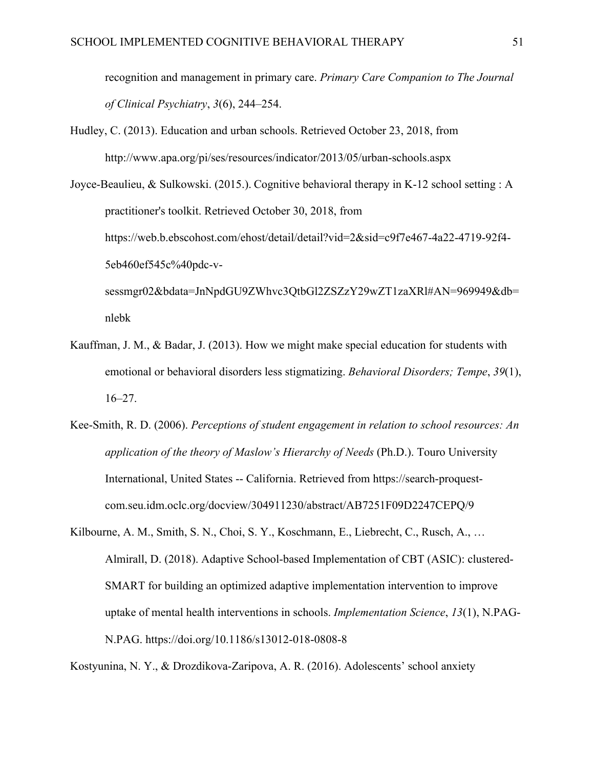recognition and management in primary care. *Primary Care Companion to The Journal of Clinical Psychiatry*, *3*(6), 244–254.

Hudley, C. (2013). Education and urban schools. Retrieved October 23, 2018, from http://www.apa.org/pi/ses/resources/indicator/2013/05/urban-schools.aspx

Joyce-Beaulieu, & Sulkowski. (2015.). Cognitive behavioral therapy in K-12 school setting : A practitioner's toolkit. Retrieved October 30, 2018, from https://web.b.ebscohost.com/ehost/detail/detail?vid=2&sid=c9f7e467-4a22-4719-92f4- 5eb460ef545c%40pdc-vsessmgr02&bdata=JnNpdGU9ZWhvc3QtbGl2ZSZzY29wZT1zaXRl#AN=969949&db= nlebk

- Kauffman, J. M., & Badar, J. (2013). How we might make special education for students with emotional or behavioral disorders less stigmatizing. *Behavioral Disorders; Tempe*, *39*(1), 16–27.
- Kee-Smith, R. D. (2006). *Perceptions of student engagement in relation to school resources: An application of the theory of Maslow's Hierarchy of Needs* (Ph.D.). Touro University International, United States -- California. Retrieved from https://search-proquestcom.seu.idm.oclc.org/docview/304911230/abstract/AB7251F09D2247CEPQ/9
- Kilbourne, A. M., Smith, S. N., Choi, S. Y., Koschmann, E., Liebrecht, C., Rusch, A., … Almirall, D. (2018). Adaptive School-based Implementation of CBT (ASIC): clustered-SMART for building an optimized adaptive implementation intervention to improve uptake of mental health interventions in schools. *Implementation Science*, *13*(1), N.PAG-N.PAG. https://doi.org/10.1186/s13012-018-0808-8

Kostyunina, N. Y., & Drozdikova-Zaripova, A. R. (2016). Adolescents' school anxiety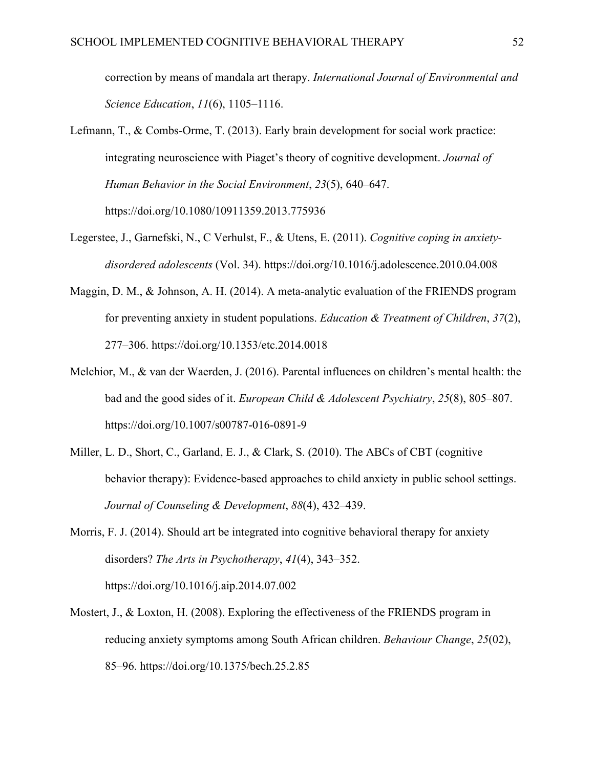correction by means of mandala art therapy. *International Journal of Environmental and Science Education*, *11*(6), 1105–1116.

- Lefmann, T., & Combs-Orme, T. (2013). Early brain development for social work practice: integrating neuroscience with Piaget's theory of cognitive development. *Journal of Human Behavior in the Social Environment*, *23*(5), 640–647. https://doi.org/10.1080/10911359.2013.775936
- Legerstee, J., Garnefski, N., C Verhulst, F., & Utens, E. (2011). *Cognitive coping in anxietydisordered adolescents* (Vol. 34). https://doi.org/10.1016/j.adolescence.2010.04.008
- Maggin, D. M., & Johnson, A. H. (2014). A meta-analytic evaluation of the FRIENDS program for preventing anxiety in student populations. *Education & Treatment of Children*, *37*(2), 277–306. https://doi.org/10.1353/etc.2014.0018
- Melchior, M., & van der Waerden, J. (2016). Parental influences on children's mental health: the bad and the good sides of it. *European Child & Adolescent Psychiatry*, *25*(8), 805–807. https://doi.org/10.1007/s00787-016-0891-9
- Miller, L. D., Short, C., Garland, E. J., & Clark, S. (2010). The ABCs of CBT (cognitive behavior therapy): Evidence-based approaches to child anxiety in public school settings. *Journal of Counseling & Development*, *88*(4), 432–439.
- Morris, F. J. (2014). Should art be integrated into cognitive behavioral therapy for anxiety disorders? *The Arts in Psychotherapy*, *41*(4), 343–352. https://doi.org/10.1016/j.aip.2014.07.002
- Mostert, J., & Loxton, H. (2008). Exploring the effectiveness of the FRIENDS program in reducing anxiety symptoms among South African children. *Behaviour Change*, *25*(02), 85–96. https://doi.org/10.1375/bech.25.2.85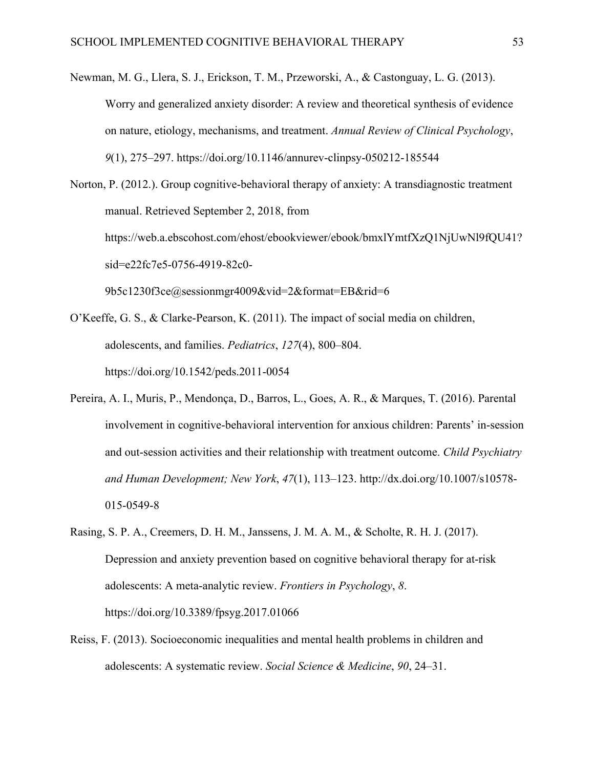Newman, M. G., Llera, S. J., Erickson, T. M., Przeworski, A., & Castonguay, L. G. (2013). Worry and generalized anxiety disorder: A review and theoretical synthesis of evidence on nature, etiology, mechanisms, and treatment. *Annual Review of Clinical Psychology*, *9*(1), 275–297. https://doi.org/10.1146/annurev-clinpsy-050212-185544

Norton, P. (2012.). Group cognitive-behavioral therapy of anxiety: A transdiagnostic treatment manual. Retrieved September 2, 2018, from https://web.a.ebscohost.com/ehost/ebookviewer/ebook/bmxlYmtfXzQ1NjUwNl9fQU41? sid=e22fc7e5-0756-4919-82c0- 9b5c1230f3ce@sessionmgr4009&vid=2&format=EB&rid=6

- O'Keeffe, G. S., & Clarke-Pearson, K. (2011). The impact of social media on children, adolescents, and families. *Pediatrics*, *127*(4), 800–804. https://doi.org/10.1542/peds.2011-0054
- Pereira, A. I., Muris, P., Mendonça, D., Barros, L., Goes, A. R., & Marques, T. (2016). Parental involvement in cognitive-behavioral intervention for anxious children: Parents' in-session and out-session activities and their relationship with treatment outcome. *Child Psychiatry and Human Development; New York*, *47*(1), 113–123. http://dx.doi.org/10.1007/s10578- 015-0549-8
- Rasing, S. P. A., Creemers, D. H. M., Janssens, J. M. A. M., & Scholte, R. H. J. (2017). Depression and anxiety prevention based on cognitive behavioral therapy for at-risk adolescents: A meta-analytic review. *Frontiers in Psychology*, *8*. https://doi.org/10.3389/fpsyg.2017.01066
- Reiss, F. (2013). Socioeconomic inequalities and mental health problems in children and adolescents: A systematic review. *Social Science & Medicine*, *90*, 24–31.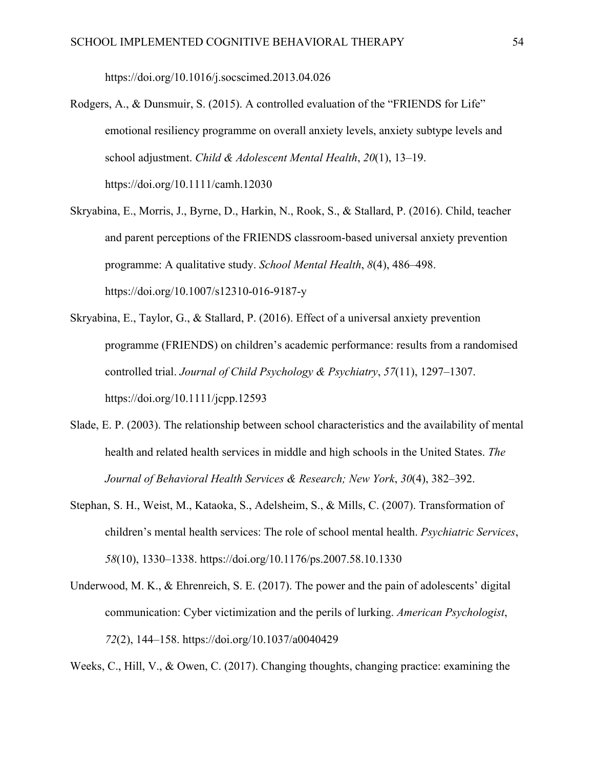https://doi.org/10.1016/j.socscimed.2013.04.026

- Rodgers, A., & Dunsmuir, S. (2015). A controlled evaluation of the "FRIENDS for Life" emotional resiliency programme on overall anxiety levels, anxiety subtype levels and school adjustment. *Child & Adolescent Mental Health*, *20*(1), 13–19. https://doi.org/10.1111/camh.12030
- Skryabina, E., Morris, J., Byrne, D., Harkin, N., Rook, S., & Stallard, P. (2016). Child, teacher and parent perceptions of the FRIENDS classroom-based universal anxiety prevention programme: A qualitative study. *School Mental Health*, *8*(4), 486–498. https://doi.org/10.1007/s12310-016-9187-y
- Skryabina, E., Taylor, G., & Stallard, P. (2016). Effect of a universal anxiety prevention programme (FRIENDS) on children's academic performance: results from a randomised controlled trial. *Journal of Child Psychology & Psychiatry*, *57*(11), 1297–1307. https://doi.org/10.1111/jcpp.12593
- Slade, E. P. (2003). The relationship between school characteristics and the availability of mental health and related health services in middle and high schools in the United States. *The Journal of Behavioral Health Services & Research; New York*, *30*(4), 382–392.
- Stephan, S. H., Weist, M., Kataoka, S., Adelsheim, S., & Mills, C. (2007). Transformation of children's mental health services: The role of school mental health. *Psychiatric Services*, *58*(10), 1330–1338. https://doi.org/10.1176/ps.2007.58.10.1330
- Underwood, M. K., & Ehrenreich, S. E. (2017). The power and the pain of adolescents' digital communication: Cyber victimization and the perils of lurking. *American Psychologist*, *72*(2), 144–158. https://doi.org/10.1037/a0040429

Weeks, C., Hill, V., & Owen, C. (2017). Changing thoughts, changing practice: examining the